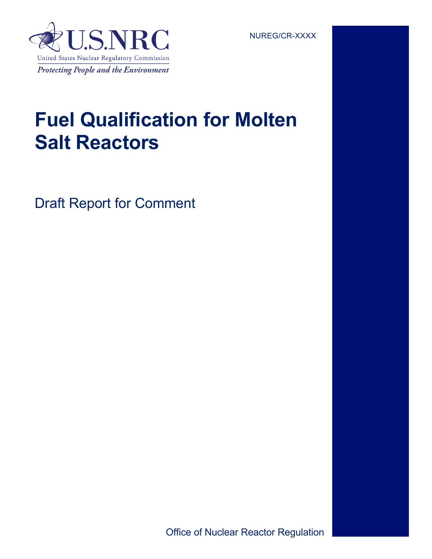# **Fuel Qualification for Molten Salt Reactors**

Draft Report for Comment

Office of Nuclear Reactor Regulation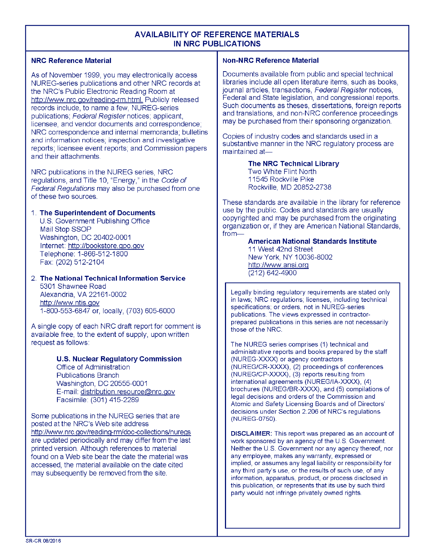#### **AVAILABILITY OF REFERENCE MATERIALS IN NRC PUBLICATIONS**

#### **NRC Reference Material**

As of November 1999, you may electronically access NUREG-series publications and other NRC records at the NRC's Public Electronic Reading Room at http://www.nrc.gov/reading-rm.html. Publicly released records include, to name a few, NUREG-series publications; Federal Register notices; applicant, licensee, and vendor documents and correspondence; NRC correspondence and internal memoranda; bulletins and information notices; inspection and investigative reports; licensee event reports; and Commission papers and their attachments.

NRC publications in the NUREG series, NRC regulations, and Title 10, "Energy," in the Code of Federal Regulations may also be purchased from one of these two sources.

#### 1. The Superintendent of Documents

U.S. Government Publishing Office Mail Stop SSOP Washington, DC 20402-0001 Internet: http://bookstore.gpo.gov Telephone: 1-866-512-1800 Fax: (202) 512-2104

2. The National Technical Information Service 5301 Shawnee Road Alexandria, VA 22161-0002 http://www.ntis.gov 1-800-553-6847 or, locally, (703) 605-6000

A single copy of each NRC draft report for comment is available free, to the extent of supply, upon written request as follows:

#### **U.S. Nuclear Regulatory Commission**

Office of Administration **Publications Branch** Washington, DC 20555-0001 E-mail: distribution.resource@nrc.gov Facsimile: (301) 415-2289

Some publications in the NUREG series that are posted at the NRC's Web site address http://www.nrc.gov/reading-rm/doc-collections/nuregs are updated periodically and may differ from the last printed version. Although references to material found on a Web site bear the date the material was accessed, the material available on the date cited may subsequently be removed from the site.

#### **Non-NRC Reference Material**

Documents available from public and special technical libraries include all open literature items, such as books. journal articles, transactions, Federal Register notices, Federal and State legislation, and congressional reports. Such documents as theses, dissertations, foreign reports and translations, and non-NRC conference proceedings may be purchased from their sponsoring organization.

Copies of industry codes and standards used in a substantive manner in the NRC regulatory process are maintained at-

> **The NRC Technical Library** Two White Flint North 11545 Rockville Pike Rockville, MD 20852-2738

These standards are available in the library for reference use by the public. Codes and standards are usually copyrighted and may be purchased from the originating organization or, if they are American National Standards, from-

> **American National Standards Institute** 11 West 42nd Street New York, NY 10036-8002 http://www.ansi.org  $(212)$  642-4900

Legally binding regulatory requirements are stated only in laws; NRC regulations; licenses, including technical specifications; or orders, not in NUREG-series publications. The views expressed in contractorprepared publications in this series are not necessarily those of the NRC.

The NUREG series comprises (1) technical and administrative reports and books prepared by the staff (NUREG-XXXX) or agency contractors (NUREG/CR-XXXX), (2) proceedings of conferences (NUREG/CP-XXXX), (3) reports resulting from international agreements (NUREG/IA-XXXX), (4) brochures (NUREG/BR-XXXX), and (5) compilations of legal decisions and orders of the Commission and Atomic and Safety Licensing Boards and of Directors' decisions under Section 2.206 of NRC's regulations (NUREG-0750).

**DISCLAIMER:** This report was prepared as an account of work sponsored by an agency of the U.S. Government. Neither the U.S. Government nor any agency thereof, nor any employee, makes any warranty, expressed or implied, or assumes any legal liability or responsibility for any third party's use, or the results of such use, of any information, apparatus, product, or process disclosed in this publication, or represents that its use by such third party would not infringe privately owned rights.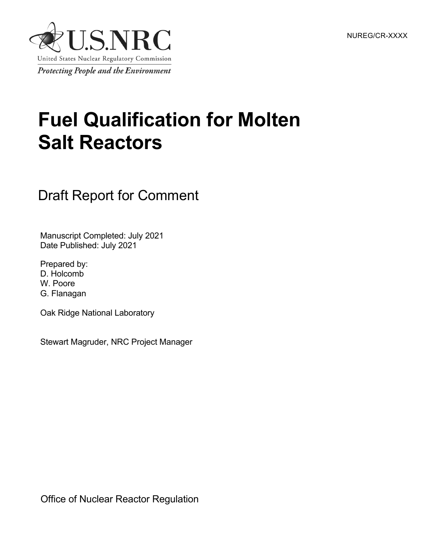NUREG/CR-XXXX



# **Fuel Qualification for Molten Salt Reactors**

# Draft Report for Comment

Manuscript Completed: July 2021 Date Published: July 2021

Prepared by: D. Holcomb W. Poore G. Flanagan

Oak Ridge National Laboratory

Stewart Magruder, NRC Project Manager

Office of Nuclear Reactor Regulation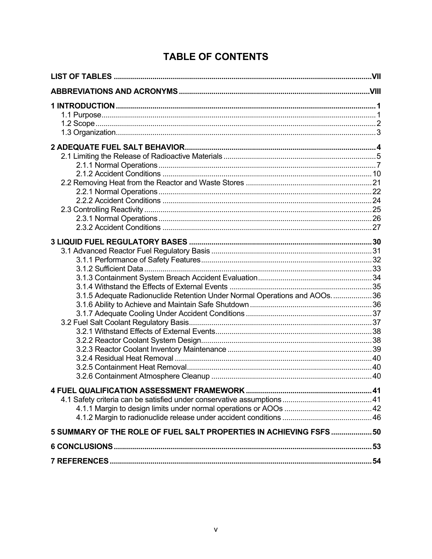# **TABLE OF CONTENTS**

|                                                                          | <b>IV.</b> |
|--------------------------------------------------------------------------|------------|
|                                                                          |            |
|                                                                          |            |
|                                                                          |            |
|                                                                          |            |
|                                                                          |            |
|                                                                          |            |
|                                                                          |            |
|                                                                          |            |
|                                                                          |            |
|                                                                          |            |
|                                                                          |            |
| 3.1.5 Adequate Radionuclide Retention Under Normal Operations and AOOs36 |            |
|                                                                          |            |
|                                                                          |            |
|                                                                          |            |
|                                                                          |            |
|                                                                          |            |
|                                                                          |            |
|                                                                          |            |
|                                                                          |            |
|                                                                          |            |
|                                                                          |            |
|                                                                          |            |
|                                                                          |            |
| 5 SUMMARY OF THE ROLE OF FUEL SALT PROPERTIES IN ACHIEVING FSFS 50       |            |
|                                                                          |            |
|                                                                          |            |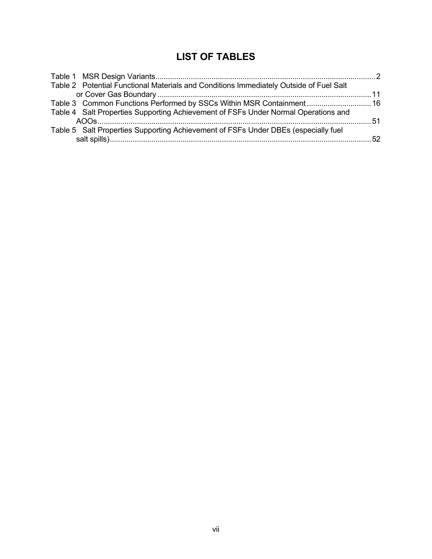# **LIST OF TABLES**

| Table 2 Potential Functional Materials and Conditions Immediately Outside of Fuel Salt |  |
|----------------------------------------------------------------------------------------|--|
|                                                                                        |  |
| Table 3 Common Functions Performed by SSCs Within MSR Containment 16                   |  |
| Table 4 Salt Properties Supporting Achievement of FSFs Under Normal Operations and     |  |
|                                                                                        |  |
| Table 5 Salt Properties Supporting Achievement of FSFs Under DBEs (especially fuel     |  |
|                                                                                        |  |
|                                                                                        |  |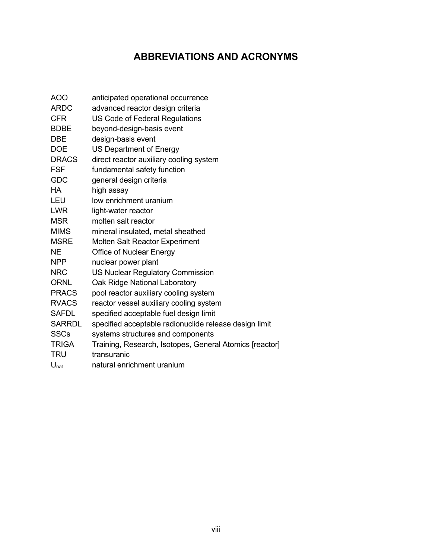# **ABBREVIATIONS AND ACRONYMS**

| <b>AOO</b>       | anticipated operational occurrence                      |
|------------------|---------------------------------------------------------|
| <b>ARDC</b>      | advanced reactor design criteria                        |
| <b>CFR</b>       | US Code of Federal Regulations                          |
| <b>BDBE</b>      | beyond-design-basis event                               |
| DBE              | design-basis event                                      |
| <b>DOE</b>       | US Department of Energy                                 |
| <b>DRACS</b>     | direct reactor auxiliary cooling system                 |
| <b>FSF</b>       | fundamental safety function                             |
| <b>GDC</b>       | general design criteria                                 |
| <b>HA</b>        | high assay                                              |
| LEU              | low enrichment uranium                                  |
| <b>LWR</b>       | light-water reactor                                     |
| <b>MSR</b>       | molten salt reactor                                     |
| <b>MIMS</b>      | mineral insulated, metal sheathed                       |
| <b>MSRE</b>      | <b>Molten Salt Reactor Experiment</b>                   |
| <b>NE</b>        | Office of Nuclear Energy                                |
| <b>NPP</b>       | nuclear power plant                                     |
| <b>NRC</b>       | <b>US Nuclear Regulatory Commission</b>                 |
| <b>ORNL</b>      | Oak Ridge National Laboratory                           |
| <b>PRACS</b>     | pool reactor auxiliary cooling system                   |
| <b>RVACS</b>     | reactor vessel auxiliary cooling system                 |
| <b>SAFDL</b>     | specified acceptable fuel design limit                  |
| <b>SARRDL</b>    | specified acceptable radionuclide release design limit  |
| <b>SSCs</b>      | systems structures and components                       |
| <b>TRIGA</b>     | Training, Research, Isotopes, General Atomics [reactor] |
| <b>TRU</b>       | transuranic                                             |
| U <sub>nat</sub> | natural enrichment uranium                              |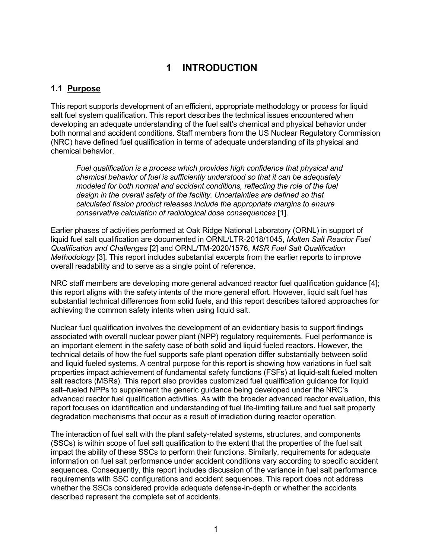# **1 INTRODUCTION**

## **1.1 Purpose**

This report supports development of an efficient, appropriate methodology or process for liquid salt fuel system qualification. This report describes the technical issues encountered when developing an adequate understanding of the fuel salt's chemical and physical behavior under both normal and accident conditions. Staff members from the US Nuclear Regulatory Commission (NRC) have defined fuel qualification in terms of adequate understanding of its physical and chemical behavior.

*Fuel qualification is a process which provides high confidence that physical and chemical behavior of fuel is sufficiently understood so that it can be adequately modeled for both normal and accident conditions, reflecting the role of the fuel design in the overall safety of the facility. Uncertainties are defined so that calculated fission product releases include the appropriate margins to ensure conservative calculation of radiological dose consequences* [1].

Earlier phases of activities performed at Oak Ridge National Laboratory (ORNL) in support of liquid fuel salt qualification are documented in ORNL/LTR-2018/1045, *Molten Salt Reactor Fuel Qualification and Challenges* [2] and ORNL/TM-2020/1576, *MSR Fuel Salt Qualification Methodology* [3]. This report includes substantial excerpts from the earlier reports to improve overall readability and to serve as a single point of reference.

NRC staff members are developing more general advanced reactor fuel qualification guidance [4]; this report aligns with the safety intents of the more general effort. However, liquid salt fuel has substantial technical differences from solid fuels, and this report describes tailored approaches for achieving the common safety intents when using liquid salt.

Nuclear fuel qualification involves the development of an evidentiary basis to support findings associated with overall nuclear power plant (NPP) regulatory requirements. Fuel performance is an important element in the safety case of both solid and liquid fueled reactors. However, the technical details of how the fuel supports safe plant operation differ substantially between solid and liquid fueled systems. A central purpose for this report is showing how variations in fuel salt properties impact achievement of fundamental safety functions (FSFs) at liquid-salt fueled molten salt reactors (MSRs). This report also provides customized fuel qualification guidance for liquid salt–fueled NPPs to supplement the generic guidance being developed under the NRC's advanced reactor fuel qualification activities. As with the broader advanced reactor evaluation, this report focuses on identification and understanding of fuel life-limiting failure and fuel salt property degradation mechanisms that occur as a result of irradiation during reactor operation.

The interaction of fuel salt with the plant safety-related systems, structures, and components (SSCs) is within scope of fuel salt qualification to the extent that the properties of the fuel salt impact the ability of these SSCs to perform their functions. Similarly, requirements for adequate information on fuel salt performance under accident conditions vary according to specific accident sequences. Consequently, this report includes discussion of the variance in fuel salt performance requirements with SSC configurations and accident sequences. This report does not address whether the SSCs considered provide adequate defense-in-depth or whether the accidents described represent the complete set of accidents.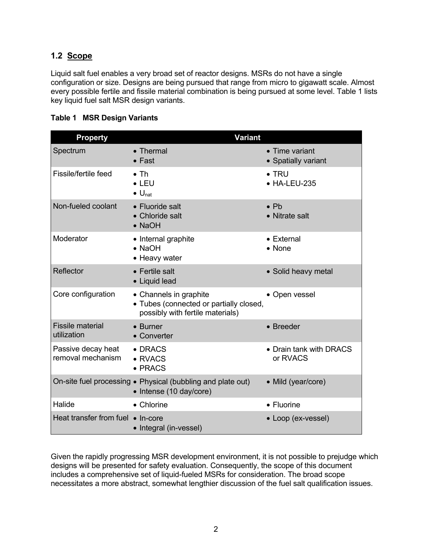# **1.2 Scope**

Liquid salt fuel enables a very broad set of reactor designs. MSRs do not have a single configuration or size. Designs are being pursued that range from micro to gigawatt scale. Almost every possible fertile and fissile material combination is being pursued at some level. Table 1 lists key liquid fuel salt MSR design variants.

|  |  |  | Table 1 MSR Design Variants |
|--|--|--|-----------------------------|
|--|--|--|-----------------------------|

| <b>Property</b>                         | <b>Variant</b>                                                                                        |                                       |
|-----------------------------------------|-------------------------------------------------------------------------------------------------------|---------------------------------------|
| Spectrum                                | $\bullet$ Thermal<br>$\bullet$ Fast                                                                   | • Time variant<br>• Spatially variant |
| Fissile/fertile feed                    | $\bullet$ Th<br>$\bullet$ LEU<br>$\bullet$ U <sub>nat</sub>                                           | $\bullet$ TRU<br>• HA-LEU-235         |
| Non-fueled coolant                      | • Fluoride salt<br>• Chloride salt<br>• NaOH                                                          | $\bullet$ Pb<br>• Nitrate salt        |
| Moderator                               | • Internal graphite<br>$\bullet$ NaOH<br>• Heavy water                                                | • External<br>$\bullet$ None          |
| Reflector                               | • Fertile salt<br>• Liquid lead                                                                       | • Solid heavy metal                   |
| Core configuration                      | • Channels in graphite<br>• Tubes (connected or partially closed,<br>possibly with fertile materials) | • Open vessel                         |
| <b>Fissile material</b><br>utilization  | • Burner<br>• Converter                                                                               | • Breeder                             |
| Passive decay heat<br>removal mechanism | • DRACS<br>• RVACS<br>$\bullet$ PRACS                                                                 | • Drain tank with DRACS<br>or RVACS   |
|                                         | On-site fuel processing . Physical (bubbling and plate out)<br>• Intense (10 day/core)                | • Mild (year/core)                    |
| Halide                                  | • Chlorine                                                                                            | • Fluorine                            |
| Heat transfer from fuel • In-core       | • Integral (in-vessel)                                                                                | • Loop (ex-vessel)                    |

Given the rapidly progressing MSR development environment, it is not possible to prejudge which designs will be presented for safety evaluation. Consequently, the scope of this document includes a comprehensive set of liquid-fueled MSRs for consideration. The broad scope necessitates a more abstract, somewhat lengthier discussion of the fuel salt qualification issues.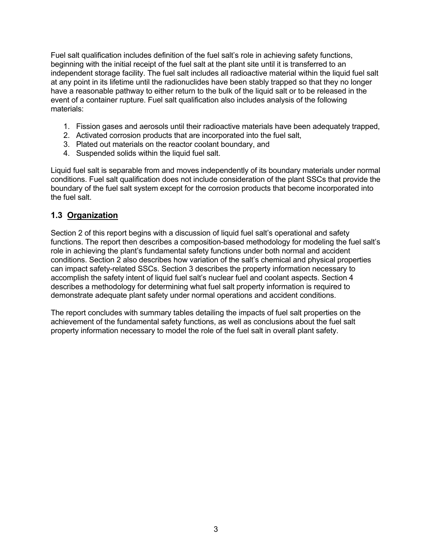Fuel salt qualification includes definition of the fuel salt's role in achieving safety functions, beginning with the initial receipt of the fuel salt at the plant site until it is transferred to an independent storage facility. The fuel salt includes all radioactive material within the liquid fuel salt at any point in its lifetime until the radionuclides have been stably trapped so that they no longer have a reasonable pathway to either return to the bulk of the liquid salt or to be released in the event of a container rupture. Fuel salt qualification also includes analysis of the following materials:

- 1. Fission gases and aerosols until their radioactive materials have been adequately trapped,
- 2. Activated corrosion products that are incorporated into the fuel salt,
- 3. Plated out materials on the reactor coolant boundary, and
- 4. Suspended solids within the liquid fuel salt.

Liquid fuel salt is separable from and moves independently of its boundary materials under normal conditions. Fuel salt qualification does not include consideration of the plant SSCs that provide the boundary of the fuel salt system except for the corrosion products that become incorporated into the fuel salt.

#### **1.3 Organization**

Section 2 of this report begins with a discussion of liquid fuel salt's operational and safety functions. The report then describes a composition-based methodology for modeling the fuel salt's role in achieving the plant's fundamental safety functions under both normal and accident conditions. Section 2 also describes how variation of the salt's chemical and physical properties can impact safety-related SSCs. Section 3 describes the property information necessary to accomplish the safety intent of liquid fuel salt's nuclear fuel and coolant aspects. Section 4 describes a methodology for determining what fuel salt property information is required to demonstrate adequate plant safety under normal operations and accident conditions.

The report concludes with summary tables detailing the impacts of fuel salt properties on the achievement of the fundamental safety functions, as well as conclusions about the fuel salt property information necessary to model the role of the fuel salt in overall plant safety.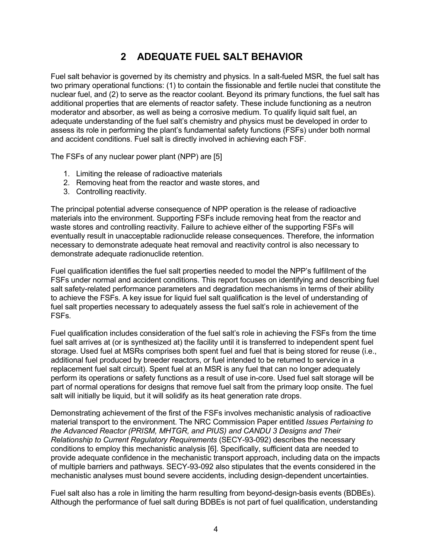# **2 ADEQUATE FUEL SALT BEHAVIOR**

Fuel salt behavior is governed by its chemistry and physics. In a salt-fueled MSR, the fuel salt has two primary operational functions: (1) to contain the fissionable and fertile nuclei that constitute the nuclear fuel, and (2) to serve as the reactor coolant. Beyond its primary functions, the fuel salt has additional properties that are elements of reactor safety. These include functioning as a neutron moderator and absorber, as well as being a corrosive medium. To qualify liquid salt fuel, an adequate understanding of the fuel salt's chemistry and physics must be developed in order to assess its role in performing the plant's fundamental safety functions (FSFs) under both normal and accident conditions. Fuel salt is directly involved in achieving each FSF.

The FSFs of any nuclear power plant (NPP) are [5]

- 1. Limiting the release of radioactive materials
- 2. Removing heat from the reactor and waste stores, and
- 3. Controlling reactivity.

The principal potential adverse consequence of NPP operation is the release of radioactive materials into the environment. Supporting FSFs include removing heat from the reactor and waste stores and controlling reactivity. Failure to achieve either of the supporting FSFs will eventually result in unacceptable radionuclide release consequences. Therefore, the information necessary to demonstrate adequate heat removal and reactivity control is also necessary to demonstrate adequate radionuclide retention.

Fuel qualification identifies the fuel salt properties needed to model the NPP's fulfillment of the FSFs under normal and accident conditions. This report focuses on identifying and describing fuel salt safety-related performance parameters and degradation mechanisms in terms of their ability to achieve the FSFs. A key issue for liquid fuel salt qualification is the level of understanding of fuel salt properties necessary to adequately assess the fuel salt's role in achievement of the FSFs.

Fuel qualification includes consideration of the fuel salt's role in achieving the FSFs from the time fuel salt arrives at (or is synthesized at) the facility until it is transferred to independent spent fuel storage. Used fuel at MSRs comprises both spent fuel and fuel that is being stored for reuse (i.e., additional fuel produced by breeder reactors, or fuel intended to be returned to service in a replacement fuel salt circuit). Spent fuel at an MSR is any fuel that can no longer adequately perform its operations or safety functions as a result of use in-core. Used fuel salt storage will be part of normal operations for designs that remove fuel salt from the primary loop onsite. The fuel salt will initially be liquid, but it will solidify as its heat generation rate drops.

Demonstrating achievement of the first of the FSFs involves mechanistic analysis of radioactive material transport to the environment. The NRC Commission Paper entitled *Issues Pertaining to the Advanced Reactor (PRISM, MHTGR, and PIUS) and CANDU 3 Designs and Their Relationship to Current Regulatory Requirements* (SECY-93-092) describes the necessary conditions to employ this mechanistic analysis [6]. Specifically, sufficient data are needed to provide adequate confidence in the mechanistic transport approach, including data on the impacts of multiple barriers and pathways. SECY-93-092 also stipulates that the events considered in the mechanistic analyses must bound severe accidents, including design-dependent uncertainties.

Fuel salt also has a role in limiting the harm resulting from beyond-design-basis events (BDBEs). Although the performance of fuel salt during BDBEs is not part of fuel qualification, understanding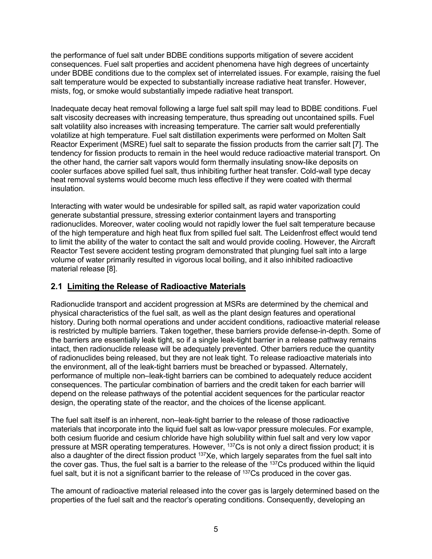the performance of fuel salt under BDBE conditions supports mitigation of severe accident consequences. Fuel salt properties and accident phenomena have high degrees of uncertainty under BDBE conditions due to the complex set of interrelated issues. For example, raising the fuel salt temperature would be expected to substantially increase radiative heat transfer. However, mists, fog, or smoke would substantially impede radiative heat transport.

Inadequate decay heat removal following a large fuel salt spill may lead to BDBE conditions. Fuel salt viscosity decreases with increasing temperature, thus spreading out uncontained spills. Fuel salt volatility also increases with increasing temperature. The carrier salt would preferentially volatilize at high temperature. Fuel salt distillation experiments were performed on Molten Salt Reactor Experiment (MSRE) fuel salt to separate the fission products from the carrier salt [7]. The tendency for fission products to remain in the heel would reduce radioactive material transport. On the other hand, the carrier salt vapors would form thermally insulating snow-like deposits on cooler surfaces above spilled fuel salt, thus inhibiting further heat transfer. Cold-wall type decay heat removal systems would become much less effective if they were coated with thermal insulation.

Interacting with water would be undesirable for spilled salt, as rapid water vaporization could generate substantial pressure, stressing exterior containment layers and transporting radionuclides. Moreover, water cooling would not rapidly lower the fuel salt temperature because of the high temperature and high heat flux from spilled fuel salt. The Leidenfrost effect would tend to limit the ability of the water to contact the salt and would provide cooling. However, the Aircraft Reactor Test severe accident testing program demonstrated that plunging fuel salt into a large volume of water primarily resulted in vigorous local boiling, and it also inhibited radioactive material release [8].

# **2.1 Limiting the Release of Radioactive Materials**

Radionuclide transport and accident progression at MSRs are determined by the chemical and physical characteristics of the fuel salt, as well as the plant design features and operational history. During both normal operations and under accident conditions, radioactive material release is restricted by multiple barriers. Taken together, these barriers provide defense-in-depth. Some of the barriers are essentially leak tight, so if a single leak-tight barrier in a release pathway remains intact, then radionuclide release will be adequately prevented. Other barriers reduce the quantity of radionuclides being released, but they are not leak tight. To release radioactive materials into the environment, all of the leak-tight barriers must be breached or bypassed. Alternately, performance of multiple non–leak-tight barriers can be combined to adequately reduce accident consequences. The particular combination of barriers and the credit taken for each barrier will depend on the release pathways of the potential accident sequences for the particular reactor design, the operating state of the reactor, and the choices of the license applicant.

The fuel salt itself is an inherent, non–leak-tight barrier to the release of those radioactive materials that incorporate into the liquid fuel salt as low-vapor pressure molecules. For example, both cesium fluoride and cesium chloride have high solubility within fuel salt and very low vapor pressure at MSR operating temperatures. However, 137Cs is not only a direct fission product; it is also a daughter of the direct fission product <sup>137</sup>Xe, which largely separates from the fuel salt into the cover gas. Thus, the fuel salt is a barrier to the release of the <sup>137</sup>Cs produced within the liquid fuel salt, but it is not a significant barrier to the release of <sup>137</sup>Cs produced in the cover gas.

The amount of radioactive material released into the cover gas is largely determined based on the properties of the fuel salt and the reactor's operating conditions. Consequently, developing an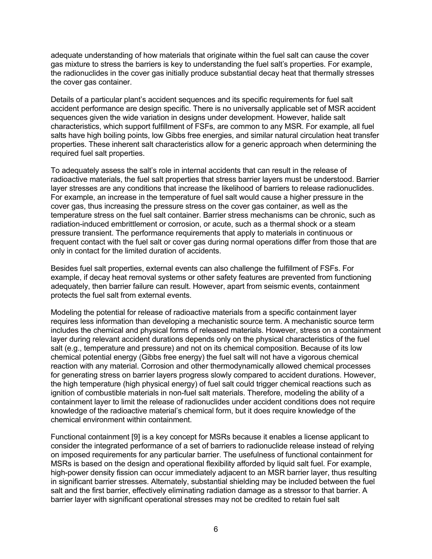adequate understanding of how materials that originate within the fuel salt can cause the cover gas mixture to stress the barriers is key to understanding the fuel salt's properties. For example, the radionuclides in the cover gas initially produce substantial decay heat that thermally stresses the cover gas container.

Details of a particular plant's accident sequences and its specific requirements for fuel salt accident performance are design specific. There is no universally applicable set of MSR accident sequences given the wide variation in designs under development. However, halide salt characteristics, which support fulfillment of FSFs, are common to any MSR. For example, all fuel salts have high boiling points, low Gibbs free energies, and similar natural circulation heat transfer properties. These inherent salt characteristics allow for a generic approach when determining the required fuel salt properties.

To adequately assess the salt's role in internal accidents that can result in the release of radioactive materials, the fuel salt properties that stress barrier layers must be understood. Barrier layer stresses are any conditions that increase the likelihood of barriers to release radionuclides. For example, an increase in the temperature of fuel salt would cause a higher pressure in the cover gas, thus increasing the pressure stress on the cover gas container, as well as the temperature stress on the fuel salt container. Barrier stress mechanisms can be chronic, such as radiation-induced embrittlement or corrosion, or acute, such as a thermal shock or a steam pressure transient. The performance requirements that apply to materials in continuous or frequent contact with the fuel salt or cover gas during normal operations differ from those that are only in contact for the limited duration of accidents.

Besides fuel salt properties, external events can also challenge the fulfillment of FSFs. For example, if decay heat removal systems or other safety features are prevented from functioning adequately, then barrier failure can result. However, apart from seismic events, containment protects the fuel salt from external events.

Modeling the potential for release of radioactive materials from a specific containment layer requires less information than developing a mechanistic source term. A mechanistic source term includes the chemical and physical forms of released materials. However, stress on a containment layer during relevant accident durations depends only on the physical characteristics of the fuel salt (e.g., temperature and pressure) and not on its chemical composition. Because of its low chemical potential energy (Gibbs free energy) the fuel salt will not have a vigorous chemical reaction with any material. Corrosion and other thermodynamically allowed chemical processes for generating stress on barrier layers progress slowly compared to accident durations. However, the high temperature (high physical energy) of fuel salt could trigger chemical reactions such as ignition of combustible materials in non-fuel salt materials. Therefore, modeling the ability of a containment layer to limit the release of radionuclides under accident conditions does not require knowledge of the radioactive material's chemical form, but it does require knowledge of the chemical environment within containment.

Functional containment [9] is a key concept for MSRs because it enables a license applicant to consider the integrated performance of a set of barriers to radionuclide release instead of relying on imposed requirements for any particular barrier. The usefulness of functional containment for MSRs is based on the design and operational flexibility afforded by liquid salt fuel. For example, high-power density fission can occur immediately adjacent to an MSR barrier layer, thus resulting in significant barrier stresses. Alternately, substantial shielding may be included between the fuel salt and the first barrier, effectively eliminating radiation damage as a stressor to that barrier. A barrier layer with significant operational stresses may not be credited to retain fuel salt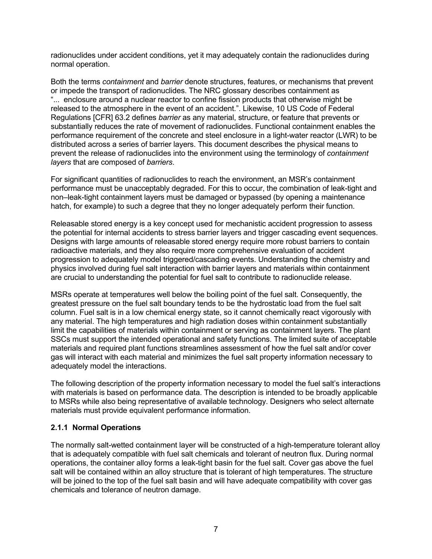radionuclides under accident conditions, yet it may adequately contain the radionuclides during normal operation.

Both the terms *containment* and *barrier* denote structures, features, or mechanisms that prevent or impede the transport of radionuclides. The NRC glossary describes containment as "... enclosure around a nuclear reactor to confine fission products that otherwise might be released to the atmosphere in the event of an accident.". Likewise, 10 US Code of Federal Regulations [CFR] 63.2 defines *barrier* as any material, structure, or feature that prevents or substantially reduces the rate of movement of radionuclides. Functional containment enables the performance requirement of the concrete and steel enclosure in a light-water reactor (LWR) to be distributed across a series of barrier layers. This document describes the physical means to prevent the release of radionuclides into the environment using the terminology of *containment layers* that are composed of *barriers*.

For significant quantities of radionuclides to reach the environment, an MSR's containment performance must be unacceptably degraded. For this to occur, the combination of leak-tight and non–leak-tight containment layers must be damaged or bypassed (by opening a maintenance hatch, for example) to such a degree that they no longer adequately perform their function.

Releasable stored energy is a key concept used for mechanistic accident progression to assess the potential for internal accidents to stress barrier layers and trigger cascading event sequences. Designs with large amounts of releasable stored energy require more robust barriers to contain radioactive materials, and they also require more comprehensive evaluation of accident progression to adequately model triggered/cascading events. Understanding the chemistry and physics involved during fuel salt interaction with barrier layers and materials within containment are crucial to understanding the potential for fuel salt to contribute to radionuclide release.

MSRs operate at temperatures well below the boiling point of the fuel salt. Consequently, the greatest pressure on the fuel salt boundary tends to be the hydrostatic load from the fuel salt column. Fuel salt is in a low chemical energy state, so it cannot chemically react vigorously with any material. The high temperatures and high radiation doses within containment substantially limit the capabilities of materials within containment or serving as containment layers. The plant SSCs must support the intended operational and safety functions. The limited suite of acceptable materials and required plant functions streamlines assessment of how the fuel salt and/or cover gas will interact with each material and minimizes the fuel salt property information necessary to adequately model the interactions.

The following description of the property information necessary to model the fuel salt's interactions with materials is based on performance data. The description is intended to be broadly applicable to MSRs while also being representative of available technology. Designers who select alternate materials must provide equivalent performance information.

#### **2.1.1 Normal Operations**

The normally salt-wetted containment layer will be constructed of a high-temperature tolerant alloy that is adequately compatible with fuel salt chemicals and tolerant of neutron flux. During normal operations, the container alloy forms a leak-tight basin for the fuel salt. Cover gas above the fuel salt will be contained within an alloy structure that is tolerant of high temperatures. The structure will be joined to the top of the fuel salt basin and will have adequate compatibility with cover gas chemicals and tolerance of neutron damage.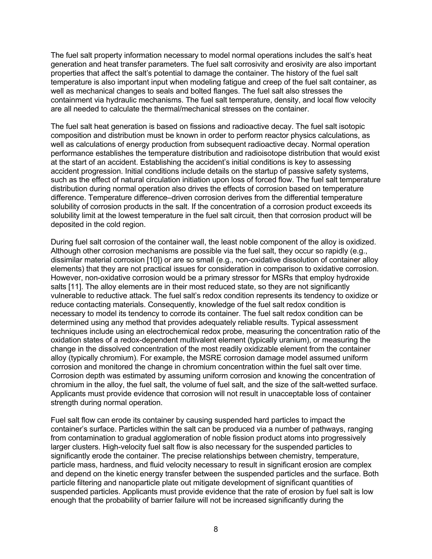The fuel salt property information necessary to model normal operations includes the salt's heat generation and heat transfer parameters. The fuel salt corrosivity and erosivity are also important properties that affect the salt's potential to damage the container. The history of the fuel salt temperature is also important input when modeling fatigue and creep of the fuel salt container, as well as mechanical changes to seals and bolted flanges. The fuel salt also stresses the containment via hydraulic mechanisms. The fuel salt temperature, density, and local flow velocity are all needed to calculate the thermal/mechanical stresses on the container.

The fuel salt heat generation is based on fissions and radioactive decay. The fuel salt isotopic composition and distribution must be known in order to perform reactor physics calculations, as well as calculations of energy production from subsequent radioactive decay. Normal operation performance establishes the temperature distribution and radioisotope distribution that would exist at the start of an accident. Establishing the accident's initial conditions is key to assessing accident progression. Initial conditions include details on the startup of passive safety systems, such as the effect of natural circulation initiation upon loss of forced flow. The fuel salt temperature distribution during normal operation also drives the effects of corrosion based on temperature difference. Temperature difference–driven corrosion derives from the differential temperature solubility of corrosion products in the salt. If the concentration of a corrosion product exceeds its solubility limit at the lowest temperature in the fuel salt circuit, then that corrosion product will be deposited in the cold region.

During fuel salt corrosion of the container wall, the least noble component of the alloy is oxidized. Although other corrosion mechanisms are possible via the fuel salt, they occur so rapidly (e.g., dissimilar material corrosion [10]) or are so small (e.g., non-oxidative dissolution of container alloy elements) that they are not practical issues for consideration in comparison to oxidative corrosion. However, non-oxidative corrosion would be a primary stressor for MSRs that employ hydroxide salts [11]. The alloy elements are in their most reduced state, so they are not significantly vulnerable to reductive attack. The fuel salt's redox condition represents its tendency to oxidize or reduce contacting materials. Consequently, knowledge of the fuel salt redox condition is necessary to model its tendency to corrode its container. The fuel salt redox condition can be determined using any method that provides adequately reliable results. Typical assessment techniques include using an electrochemical redox probe, measuring the concentration ratio of the oxidation states of a redox-dependent multivalent element (typically uranium), or measuring the change in the dissolved concentration of the most readily oxidizable element from the container alloy (typically chromium). For example, the MSRE corrosion damage model assumed uniform corrosion and monitored the change in chromium concentration within the fuel salt over time. Corrosion depth was estimated by assuming uniform corrosion and knowing the concentration of chromium in the alloy, the fuel salt, the volume of fuel salt, and the size of the salt-wetted surface. Applicants must provide evidence that corrosion will not result in unacceptable loss of container strength during normal operation.

Fuel salt flow can erode its container by causing suspended hard particles to impact the container's surface. Particles within the salt can be produced via a number of pathways, ranging from contamination to gradual agglomeration of noble fission product atoms into progressively larger clusters. High-velocity fuel salt flow is also necessary for the suspended particles to significantly erode the container. The precise relationships between chemistry, temperature, particle mass, hardness, and fluid velocity necessary to result in significant erosion are complex and depend on the kinetic energy transfer between the suspended particles and the surface. Both particle filtering and nanoparticle plate out mitigate development of significant quantities of suspended particles. Applicants must provide evidence that the rate of erosion by fuel salt is low enough that the probability of barrier failure will not be increased significantly during the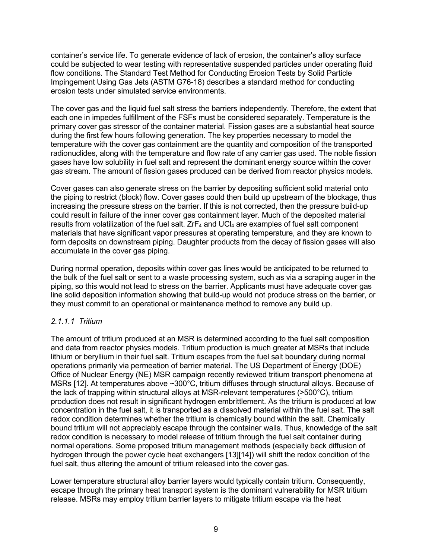container's service life. To generate evidence of lack of erosion, the container's alloy surface could be subjected to wear testing with representative suspended particles under operating fluid flow conditions. The Standard Test Method for Conducting Erosion Tests by Solid Particle Impingement Using Gas Jets (ASTM G76-18) describes a standard method for conducting erosion tests under simulated service environments.

The cover gas and the liquid fuel salt stress the barriers independently. Therefore, the extent that each one in impedes fulfillment of the FSFs must be considered separately. Temperature is the primary cover gas stressor of the container material. Fission gases are a substantial heat source during the first few hours following generation. The key properties necessary to model the temperature with the cover gas containment are the quantity and composition of the transported radionuclides, along with the temperature and flow rate of any carrier gas used. The noble fission gases have low solubility in fuel salt and represent the dominant energy source within the cover gas stream. The amount of fission gases produced can be derived from reactor physics models.

Cover gases can also generate stress on the barrier by depositing sufficient solid material onto the piping to restrict (block) flow. Cover gases could then build up upstream of the blockage, thus increasing the pressure stress on the barrier. If this is not corrected, then the pressure build-up could result in failure of the inner cover gas containment layer. Much of the deposited material results from volatilization of the fuel salt.  $ZrF_4$  and UCl<sub>4</sub> are examples of fuel salt component materials that have significant vapor pressures at operating temperature, and they are known to form deposits on downstream piping. Daughter products from the decay of fission gases will also accumulate in the cover gas piping.

During normal operation, deposits within cover gas lines would be anticipated to be returned to the bulk of the fuel salt or sent to a waste processing system, such as via a scraping auger in the piping, so this would not lead to stress on the barrier. Applicants must have adequate cover gas line solid deposition information showing that build-up would not produce stress on the barrier, or they must commit to an operational or maintenance method to remove any build up.

#### *2.1.1.1 Tritium*

The amount of tritium produced at an MSR is determined according to the fuel salt composition and data from reactor physics models. Tritium production is much greater at MSRs that include lithium or beryllium in their fuel salt. Tritium escapes from the fuel salt boundary during normal operations primarily via permeation of barrier material. The US Department of Energy (DOE) Office of Nuclear Energy (NE) MSR campaign recently reviewed tritium transport phenomena at MSRs [12]. At temperatures above ~300°C, tritium diffuses through structural alloys. Because of the lack of trapping within structural alloys at MSR-relevant temperatures (>500°C), tritium production does not result in significant hydrogen embrittlement. As the tritium is produced at low concentration in the fuel salt, it is transported as a dissolved material within the fuel salt. The salt redox condition determines whether the tritium is chemically bound within the salt. Chemically bound tritium will not appreciably escape through the container walls. Thus, knowledge of the salt redox condition is necessary to model release of tritium through the fuel salt container during normal operations. Some proposed tritium management methods (especially back diffusion of hydrogen through the power cycle heat exchangers [13][14]) will shift the redox condition of the fuel salt, thus altering the amount of tritium released into the cover gas.

Lower temperature structural alloy barrier layers would typically contain tritium. Consequently, escape through the primary heat transport system is the dominant vulnerability for MSR tritium release. MSRs may employ tritium barrier layers to mitigate tritium escape via the heat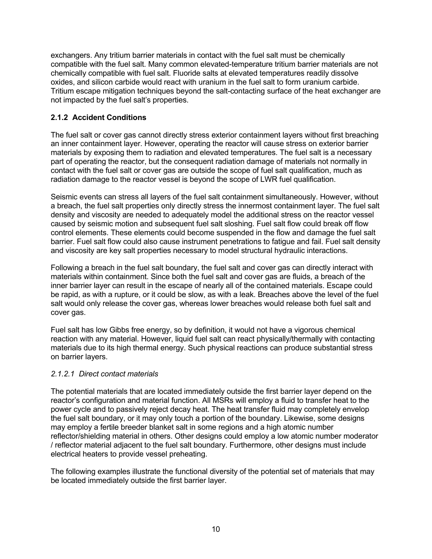exchangers. Any tritium barrier materials in contact with the fuel salt must be chemically compatible with the fuel salt. Many common elevated-temperature tritium barrier materials are not chemically compatible with fuel salt. Fluoride salts at elevated temperatures readily dissolve oxides, and silicon carbide would react with uranium in the fuel salt to form uranium carbide. Tritium escape mitigation techniques beyond the salt-contacting surface of the heat exchanger are not impacted by the fuel salt's properties.

#### **2.1.2 Accident Conditions**

The fuel salt or cover gas cannot directly stress exterior containment layers without first breaching an inner containment layer. However, operating the reactor will cause stress on exterior barrier materials by exposing them to radiation and elevated temperatures. The fuel salt is a necessary part of operating the reactor, but the consequent radiation damage of materials not normally in contact with the fuel salt or cover gas are outside the scope of fuel salt qualification, much as radiation damage to the reactor vessel is beyond the scope of LWR fuel qualification.

Seismic events can stress all layers of the fuel salt containment simultaneously. However, without a breach, the fuel salt properties only directly stress the innermost containment layer. The fuel salt density and viscosity are needed to adequately model the additional stress on the reactor vessel caused by seismic motion and subsequent fuel salt sloshing. Fuel salt flow could break off flow control elements. These elements could become suspended in the flow and damage the fuel salt barrier. Fuel salt flow could also cause instrument penetrations to fatigue and fail. Fuel salt density and viscosity are key salt properties necessary to model structural hydraulic interactions.

Following a breach in the fuel salt boundary, the fuel salt and cover gas can directly interact with materials within containment. Since both the fuel salt and cover gas are fluids, a breach of the inner barrier layer can result in the escape of nearly all of the contained materials. Escape could be rapid, as with a rupture, or it could be slow, as with a leak. Breaches above the level of the fuel salt would only release the cover gas, whereas lower breaches would release both fuel salt and cover gas.

Fuel salt has low Gibbs free energy, so by definition, it would not have a vigorous chemical reaction with any material. However, liquid fuel salt can react physically/thermally with contacting materials due to its high thermal energy. Such physical reactions can produce substantial stress on barrier layers.

#### *2.1.2.1 Direct contact materials*

The potential materials that are located immediately outside the first barrier layer depend on the reactor's configuration and material function. All MSRs will employ a fluid to transfer heat to the power cycle and to passively reject decay heat. The heat transfer fluid may completely envelop the fuel salt boundary, or it may only touch a portion of the boundary. Likewise, some designs may employ a fertile breeder blanket salt in some regions and a high atomic number reflector/shielding material in others. Other designs could employ a low atomic number moderator / reflector material adjacent to the fuel salt boundary. Furthermore, other designs must include electrical heaters to provide vessel preheating.

The following examples illustrate the functional diversity of the potential set of materials that may be located immediately outside the first barrier layer.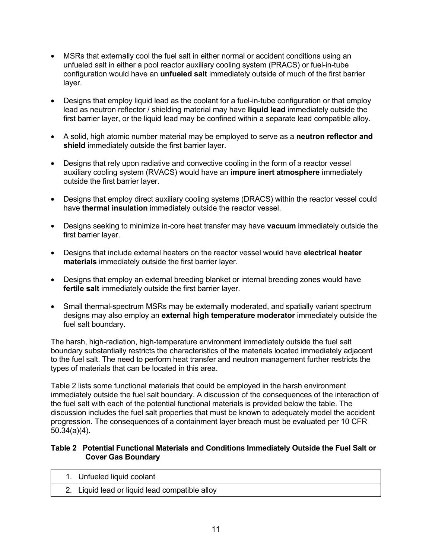- MSRs that externally cool the fuel salt in either normal or accident conditions using an unfueled salt in either a pool reactor auxiliary cooling system (PRACS) or fuel-in-tube configuration would have an **unfueled salt** immediately outside of much of the first barrier layer.
- Designs that employ liquid lead as the coolant for a fuel-in-tube configuration or that employ lead as neutron reflector / shielding material may have **liquid lead** immediately outside the first barrier layer, or the liquid lead may be confined within a separate lead compatible alloy.
- A solid, high atomic number material may be employed to serve as a **neutron reflector and shield** immediately outside the first barrier layer.
- Designs that rely upon radiative and convective cooling in the form of a reactor vessel auxiliary cooling system (RVACS) would have an **impure inert atmosphere** immediately outside the first barrier layer.
- Designs that employ direct auxiliary cooling systems (DRACS) within the reactor vessel could have **thermal insulation** immediately outside the reactor vessel.
- Designs seeking to minimize in-core heat transfer may have **vacuum** immediately outside the first barrier layer.
- Designs that include external heaters on the reactor vessel would have **electrical heater materials** immediately outside the first barrier layer.
- Designs that employ an external breeding blanket or internal breeding zones would have **fertile salt** immediately outside the first barrier layer.
- Small thermal-spectrum MSRs may be externally moderated, and spatially variant spectrum designs may also employ an **external high temperature moderator** immediately outside the fuel salt boundary.

The harsh, high-radiation, high-temperature environment immediately outside the fuel salt boundary substantially restricts the characteristics of the materials located immediately adjacent to the fuel salt. The need to perform heat transfer and neutron management further restricts the types of materials that can be located in this area.

Table 2 lists some functional materials that could be employed in the harsh environment immediately outside the fuel salt boundary. A discussion of the consequences of the interaction of the fuel salt with each of the potential functional materials is provided below the table. The discussion includes the fuel salt properties that must be known to adequately model the accident progression. The consequences of a containment layer breach must be evaluated per 10 CFR 50.34(a)(4).

#### **Table 2 Potential Functional Materials and Conditions Immediately Outside the Fuel Salt or Cover Gas Boundary**

| 1. Unfueled liquid coolant                     |  |
|------------------------------------------------|--|
| 2. Liquid lead or liquid lead compatible alloy |  |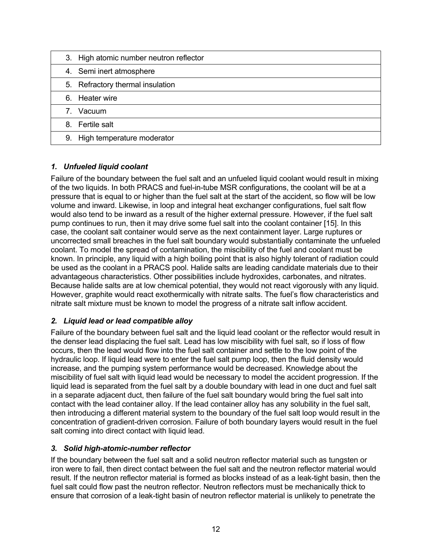| 3. High atomic number neutron reflector |
|-----------------------------------------|
| 4. Semi inert atmosphere                |
| 5. Refractory thermal insulation        |
| 6. Heater wire                          |
| 7. Vacuum                               |
| 8. Fertile salt                         |
| 9. High temperature moderator           |

#### *1. Unfueled liquid coolant*

Failure of the boundary between the fuel salt and an unfueled liquid coolant would result in mixing of the two liquids. In both PRACS and fuel-in-tube MSR configurations, the coolant will be at a pressure that is equal to or higher than the fuel salt at the start of the accident, so flow will be low volume and inward. Likewise, in loop and integral heat exchanger configurations, fuel salt flow would also tend to be inward as a result of the higher external pressure. However, if the fuel salt pump continues to run, then it may drive some fuel salt into the coolant container [15]. In this case, the coolant salt container would serve as the next containment layer. Large ruptures or uncorrected small breaches in the fuel salt boundary would substantially contaminate the unfueled coolant. To model the spread of contamination, the miscibility of the fuel and coolant must be known. In principle, any liquid with a high boiling point that is also highly tolerant of radiation could be used as the coolant in a PRACS pool. Halide salts are leading candidate materials due to their advantageous characteristics. Other possibilities include hydroxides, carbonates, and nitrates. Because halide salts are at low chemical potential, they would not react vigorously with any liquid. However, graphite would react exothermically with nitrate salts. The fuel's flow characteristics and nitrate salt mixture must be known to model the progress of a nitrate salt inflow accident.

#### *2. Liquid lead or lead compatible alloy*

Failure of the boundary between fuel salt and the liquid lead coolant or the reflector would result in the denser lead displacing the fuel salt. Lead has low miscibility with fuel salt, so if loss of flow occurs, then the lead would flow into the fuel salt container and settle to the low point of the hydraulic loop. If liquid lead were to enter the fuel salt pump loop, then the fluid density would increase, and the pumping system performance would be decreased. Knowledge about the miscibility of fuel salt with liquid lead would be necessary to model the accident progression. If the liquid lead is separated from the fuel salt by a double boundary with lead in one duct and fuel salt in a separate adjacent duct, then failure of the fuel salt boundary would bring the fuel salt into contact with the lead container alloy. If the lead container alloy has any solubility in the fuel salt, then introducing a different material system to the boundary of the fuel salt loop would result in the concentration of gradient-driven corrosion. Failure of both boundary layers would result in the fuel salt coming into direct contact with liquid lead.

#### *3. Solid high-atomic-number reflector*

If the boundary between the fuel salt and a solid neutron reflector material such as tungsten or iron were to fail, then direct contact between the fuel salt and the neutron reflector material would result. If the neutron reflector material is formed as blocks instead of as a leak-tight basin, then the fuel salt could flow past the neutron reflector. Neutron reflectors must be mechanically thick to ensure that corrosion of a leak-tight basin of neutron reflector material is unlikely to penetrate the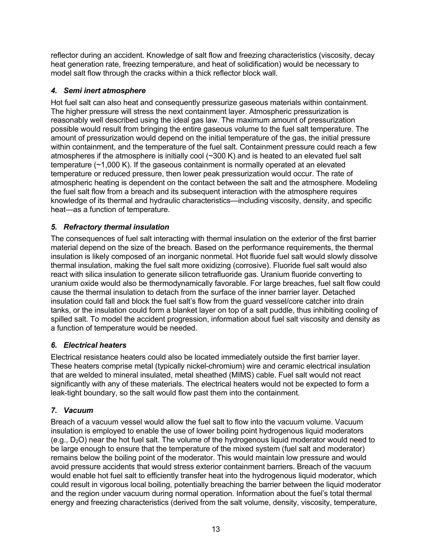reflector during an accident. Knowledge of salt flow and freezing characteristics (viscosity, decay heat generation rate, freezing temperature, and heat of solidification) would be necessary to model salt flow through the cracks within a thick reflector block wall.

## *4. Semi inert atmosphere*

Hot fuel salt can also heat and consequently pressurize gaseous materials within containment. The higher pressure will stress the next containment layer. Atmospheric pressurization is reasonably well described using the ideal gas law. The maximum amount of pressurization possible would result from bringing the entire gaseous volume to the fuel salt temperature. The amount of pressurization would depend on the initial temperature of the gas, the initial pressure within containment, and the temperature of the fuel salt. Containment pressure could reach a few atmospheres if the atmosphere is initially cool (~300 K) and is heated to an elevated fuel salt temperature (~1,000 K). If the gaseous containment is normally operated at an elevated temperature or reduced pressure, then lower peak pressurization would occur. The rate of atmospheric heating is dependent on the contact between the salt and the atmosphere. Modeling the fuel salt flow from a breach and its subsequent interaction with the atmosphere requires knowledge of its thermal and hydraulic characteristics—including viscosity, density, and specific heat—as a function of temperature.

## *5. Refractory thermal insulation*

The consequences of fuel salt interacting with thermal insulation on the exterior of the first barrier material depend on the size of the breach. Based on the performance requirements, the thermal insulation is likely composed of an inorganic nonmetal. Hot fluoride fuel salt would slowly dissolve thermal insulation, making the fuel salt more oxidizing (corrosive). Fluoride fuel salt would also react with silica insulation to generate silicon tetrafluoride gas. Uranium fluoride converting to uranium oxide would also be thermodynamically favorable. For large breaches, fuel salt flow could cause the thermal insulation to detach from the surface of the inner barrier layer. Detached insulation could fall and block the fuel salt's flow from the guard vessel/core catcher into drain tanks, or the insulation could form a blanket layer on top of a salt puddle, thus inhibiting cooling of spilled salt. To model the accident progression, information about fuel salt viscosity and density as a function of temperature would be needed.

#### *6. Electrical heaters*

Electrical resistance heaters could also be located immediately outside the first barrier layer. These heaters comprise metal (typically nickel-chromium) wire and ceramic electrical insulation that are welded to mineral insulated, metal sheathed (MIMS) cable. Fuel salt would not react significantly with any of these materials. The electrical heaters would not be expected to form a leak-tight boundary, so the salt would flow past them into the containment.

#### *7. Vacuum*

Breach of a vacuum vessel would allow the fuel salt to flow into the vacuum volume. Vacuum insulation is employed to enable the use of lower boiling point hydrogenous liquid moderators (e.g.,  $D_2O$ ) near the hot fuel salt. The volume of the hydrogenous liquid moderator would need to be large enough to ensure that the temperature of the mixed system (fuel salt and moderator) remains below the boiling point of the moderator. This would maintain low pressure and would avoid pressure accidents that would stress exterior containment barriers. Breach of the vacuum would enable hot fuel salt to efficiently transfer heat into the hydrogenous liquid moderator, which could result in vigorous local boiling, potentially breaching the barrier between the liquid moderator and the region under vacuum during normal operation. Information about the fuel's total thermal energy and freezing characteristics (derived from the salt volume, density, viscosity, temperature,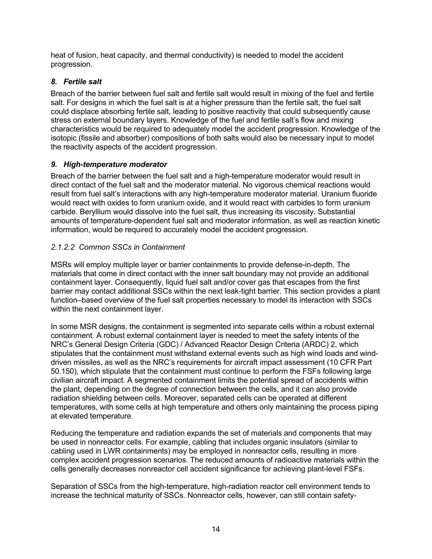heat of fusion, heat capacity, and thermal conductivity) is needed to model the accident progression.

#### *8. Fertile salt*

Breach of the barrier between fuel salt and fertile salt would result in mixing of the fuel and fertile salt. For designs in which the fuel salt is at a higher pressure than the fertile salt, the fuel salt could displace absorbing fertile salt, leading to positive reactivity that could subsequently cause stress on external boundary layers. Knowledge of the fuel and fertile salt's flow and mixing characteristics would be required to adequately model the accident progression. Knowledge of the isotopic (fissile and absorber) compositions of both salts would also be necessary input to model the reactivity aspects of the accident progression.

#### *9. High-temperature moderator*

Breach of the barrier between the fuel salt and a high-temperature moderator would result in direct contact of the fuel salt and the moderator material. No vigorous chemical reactions would result from fuel salt's interactions with any high-temperature moderator material. Uranium fluoride would react with oxides to form uranium oxide, and it would react with carbides to form uranium carbide. Beryllium would dissolve into the fuel salt, thus increasing its viscosity. Substantial amounts of temperature-dependent fuel salt and moderator information, as well as reaction kinetic information, would be required to accurately model the accident progression.

## *2.1.2.2 Common SSCs in Containment*

MSRs will employ multiple layer or barrier containments to provide defense-in-depth. The materials that come in direct contact with the inner salt boundary may not provide an additional containment layer. Consequently, liquid fuel salt and/or cover gas that escapes from the first barrier may contact additional SSCs within the next leak-tight barrier. This section provides a plant function–based overview of the fuel salt properties necessary to model its interaction with SSCs within the next containment layer.

In some MSR designs, the containment is segmented into separate cells within a robust external containment. A robust external containment layer is needed to meet the safety intents of the NRC's General Design Criteria (GDC) / Advanced Reactor Design Criteria (ARDC) 2, which stipulates that the containment must withstand external events such as high wind loads and winddriven missiles, as well as the NRC's requirements for aircraft impact assessment (10 CFR Part 50.150), which stipulate that the containment must continue to perform the FSFs following large civilian aircraft impact. A segmented containment limits the potential spread of accidents within the plant, depending on the degree of connection between the cells, and it can also provide radiation shielding between cells. Moreover, separated cells can be operated at different temperatures, with some cells at high temperature and others only maintaining the process piping at elevated temperature.

Reducing the temperature and radiation expands the set of materials and components that may be used in nonreactor cells. For example, cabling that includes organic insulators (similar to cabling used in LWR containments) may be employed in nonreactor cells, resulting in more complex accident progression scenarios. The reduced amounts of radioactive materials within the cells generally decreases nonreactor cell accident significance for achieving plant-level FSFs.

Separation of SSCs from the high-temperature, high-radiation reactor cell environment tends to increase the technical maturity of SSCs. Nonreactor cells, however, can still contain safety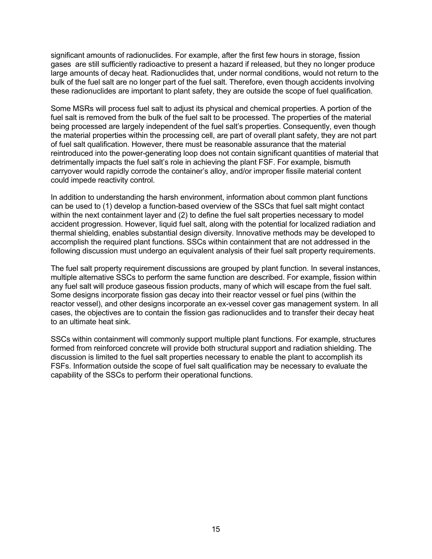significant amounts of radionuclides. For example, after the first few hours in storage, fission gases are still sufficiently radioactive to present a hazard if released, but they no longer produce large amounts of decay heat. Radionuclides that, under normal conditions, would not return to the bulk of the fuel salt are no longer part of the fuel salt. Therefore, even though accidents involving these radionuclides are important to plant safety, they are outside the scope of fuel qualification.

Some MSRs will process fuel salt to adjust its physical and chemical properties. A portion of the fuel salt is removed from the bulk of the fuel salt to be processed. The properties of the material being processed are largely independent of the fuel salt's properties. Consequently, even though the material properties within the processing cell, are part of overall plant safety, they are not part of fuel salt qualification. However, there must be reasonable assurance that the material reintroduced into the power-generating loop does not contain significant quantities of material that detrimentally impacts the fuel salt's role in achieving the plant FSF. For example, bismuth carryover would rapidly corrode the container's alloy, and/or improper fissile material content could impede reactivity control.

In addition to understanding the harsh environment, information about common plant functions can be used to (1) develop a function-based overview of the SSCs that fuel salt might contact within the next containment layer and (2) to define the fuel salt properties necessary to model accident progression. However, liquid fuel salt, along with the potential for localized radiation and thermal shielding, enables substantial design diversity. Innovative methods may be developed to accomplish the required plant functions. SSCs within containment that are not addressed in the following discussion must undergo an equivalent analysis of their fuel salt property requirements.

The fuel salt property requirement discussions are grouped by plant function. In several instances, multiple alternative SSCs to perform the same function are described. For example, fission within any fuel salt will produce gaseous fission products, many of which will escape from the fuel salt. Some designs incorporate fission gas decay into their reactor vessel or fuel pins (within the reactor vessel), and other designs incorporate an ex-vessel cover gas management system. In all cases, the objectives are to contain the fission gas radionuclides and to transfer their decay heat to an ultimate heat sink.

SSCs within containment will commonly support multiple plant functions. For example, structures formed from reinforced concrete will provide both structural support and radiation shielding. The discussion is limited to the fuel salt properties necessary to enable the plant to accomplish its FSFs. Information outside the scope of fuel salt qualification may be necessary to evaluate the capability of the SSCs to perform their operational functions.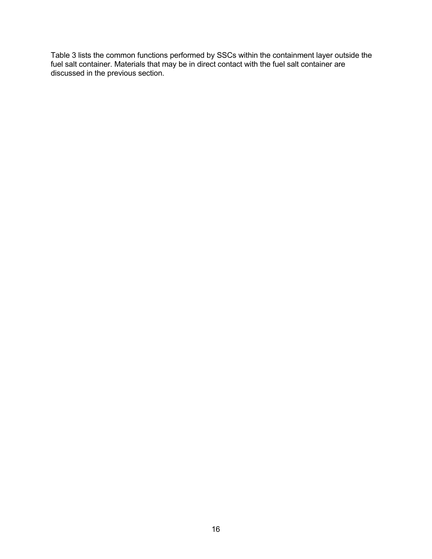Table 3 lists the common functions performed by SSCs within the containment layer outside the fuel salt container. Materials that may be in direct contact with the fuel salt container are discussed in the previous section.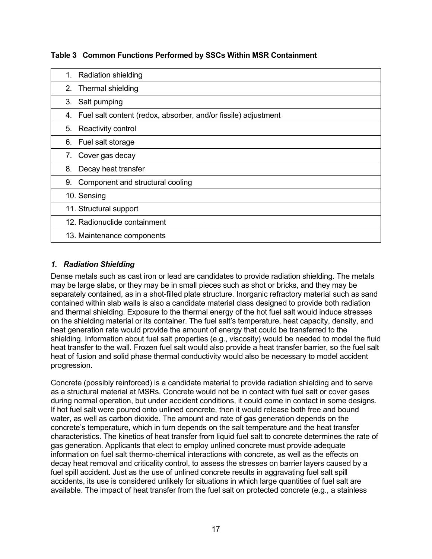| Table 3 Common Functions Performed by SSCs Within MSR Containment |  |  |
|-------------------------------------------------------------------|--|--|
|                                                                   |  |  |

| <b>Radiation shielding</b><br>1.                                  |
|-------------------------------------------------------------------|
| Thermal shielding<br>2.                                           |
| Salt pumping<br>3.                                                |
| 4. Fuel salt content (redox, absorber, and/or fissile) adjustment |
| 5. Reactivity control                                             |
| 6. Fuel salt storage                                              |
| 7. Cover gas decay                                                |
| Decay heat transfer<br>8.                                         |
| Component and structural cooling<br>9.                            |
| 10. Sensing                                                       |
| 11. Structural support                                            |
| 12. Radionuclide containment                                      |
| 13. Maintenance components                                        |

#### *1. Radiation Shielding*

Dense metals such as cast iron or lead are candidates to provide radiation shielding. The metals may be large slabs, or they may be in small pieces such as shot or bricks, and they may be separately contained, as in a shot-filled plate structure. Inorganic refractory material such as sand contained within slab walls is also a candidate material class designed to provide both radiation and thermal shielding. Exposure to the thermal energy of the hot fuel salt would induce stresses on the shielding material or its container. The fuel salt's temperature, heat capacity, density, and heat generation rate would provide the amount of energy that could be transferred to the shielding. Information about fuel salt properties (e.g., viscosity) would be needed to model the fluid heat transfer to the wall. Frozen fuel salt would also provide a heat transfer barrier, so the fuel salt heat of fusion and solid phase thermal conductivity would also be necessary to model accident progression.

Concrete (possibly reinforced) is a candidate material to provide radiation shielding and to serve as a structural material at MSRs. Concrete would not be in contact with fuel salt or cover gases during normal operation, but under accident conditions, it could come in contact in some designs. If hot fuel salt were poured onto unlined concrete, then it would release both free and bound water, as well as carbon dioxide. The amount and rate of gas generation depends on the concrete's temperature, which in turn depends on the salt temperature and the heat transfer characteristics. The kinetics of heat transfer from liquid fuel salt to concrete determines the rate of gas generation. Applicants that elect to employ unlined concrete must provide adequate information on fuel salt thermo-chemical interactions with concrete, as well as the effects on decay heat removal and criticality control, to assess the stresses on barrier layers caused by a fuel spill accident. Just as the use of unlined concrete results in aggravating fuel salt spill accidents, its use is considered unlikely for situations in which large quantities of fuel salt are available. The impact of heat transfer from the fuel salt on protected concrete (e.g., a stainless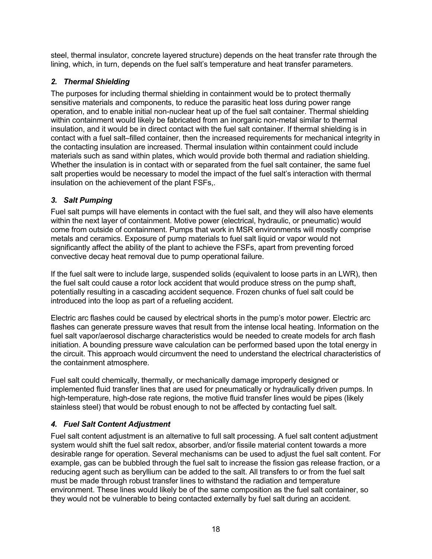steel, thermal insulator, concrete layered structure) depends on the heat transfer rate through the lining, which, in turn, depends on the fuel salt's temperature and heat transfer parameters.

#### *2. Thermal Shielding*

The purposes for including thermal shielding in containment would be to protect thermally sensitive materials and components, to reduce the parasitic heat loss during power range operation, and to enable initial non-nuclear heat up of the fuel salt container. Thermal shielding within containment would likely be fabricated from an inorganic non-metal similar to thermal insulation, and it would be in direct contact with the fuel salt container. If thermal shielding is in contact with a fuel salt–filled container, then the increased requirements for mechanical integrity in the contacting insulation are increased. Thermal insulation within containment could include materials such as sand within plates, which would provide both thermal and radiation shielding. Whether the insulation is in contact with or separated from the fuel salt container, the same fuel salt properties would be necessary to model the impact of the fuel salt's interaction with thermal insulation on the achievement of the plant FSFs,.

#### *3. Salt Pumping*

Fuel salt pumps will have elements in contact with the fuel salt, and they will also have elements within the next layer of containment. Motive power (electrical, hydraulic, or pneumatic) would come from outside of containment. Pumps that work in MSR environments will mostly comprise metals and ceramics. Exposure of pump materials to fuel salt liquid or vapor would not significantly affect the ability of the plant to achieve the FSFs, apart from preventing forced convective decay heat removal due to pump operational failure.

If the fuel salt were to include large, suspended solids (equivalent to loose parts in an LWR), then the fuel salt could cause a rotor lock accident that would produce stress on the pump shaft, potentially resulting in a cascading accident sequence. Frozen chunks of fuel salt could be introduced into the loop as part of a refueling accident.

Electric arc flashes could be caused by electrical shorts in the pump's motor power. Electric arc flashes can generate pressure waves that result from the intense local heating. Information on the fuel salt vapor/aerosol discharge characteristics would be needed to create models for arch flash initiation. A bounding pressure wave calculation can be performed based upon the total energy in the circuit. This approach would circumvent the need to understand the electrical characteristics of the containment atmosphere.

Fuel salt could chemically, thermally, or mechanically damage improperly designed or implemented fluid transfer lines that are used for pneumatically or hydraulically driven pumps. In high-temperature, high-dose rate regions, the motive fluid transfer lines would be pipes (likely stainless steel) that would be robust enough to not be affected by contacting fuel salt.

#### *4. Fuel Salt Content Adjustment*

Fuel salt content adjustment is an alternative to full salt processing. A fuel salt content adjustment system would shift the fuel salt redox, absorber, and/or fissile material content towards a more desirable range for operation. Several mechanisms can be used to adjust the fuel salt content. For example, gas can be bubbled through the fuel salt to increase the fission gas release fraction, or a reducing agent such as beryllium can be added to the salt. All transfers to or from the fuel salt must be made through robust transfer lines to withstand the radiation and temperature environment. These lines would likely be of the same composition as the fuel salt container, so they would not be vulnerable to being contacted externally by fuel salt during an accident.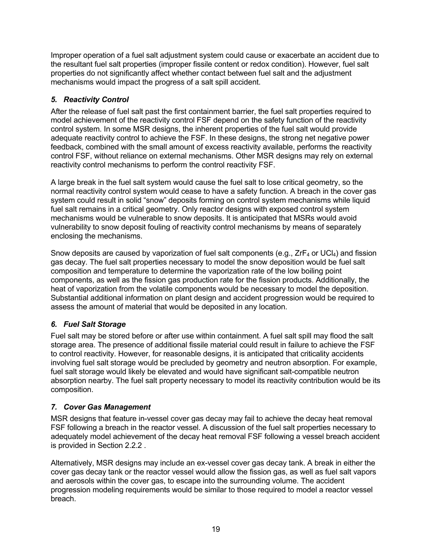Improper operation of a fuel salt adjustment system could cause or exacerbate an accident due to the resultant fuel salt properties (improper fissile content or redox condition). However, fuel salt properties do not significantly affect whether contact between fuel salt and the adjustment mechanisms would impact the progress of a salt spill accident.

## *5. Reactivity Control*

After the release of fuel salt past the first containment barrier, the fuel salt properties required to model achievement of the reactivity control FSF depend on the safety function of the reactivity control system. In some MSR designs, the inherent properties of the fuel salt would provide adequate reactivity control to achieve the FSF. In these designs, the strong net negative power feedback, combined with the small amount of excess reactivity available, performs the reactivity control FSF, without reliance on external mechanisms. Other MSR designs may rely on external reactivity control mechanisms to perform the control reactivity FSF.

A large break in the fuel salt system would cause the fuel salt to lose critical geometry, so the normal reactivity control system would cease to have a safety function. A breach in the cover gas system could result in solid "snow" deposits forming on control system mechanisms while liquid fuel salt remains in a critical geometry. Only reactor designs with exposed control system mechanisms would be vulnerable to snow deposits. It is anticipated that MSRs would avoid vulnerability to snow deposit fouling of reactivity control mechanisms by means of separately enclosing the mechanisms.

Snow deposits are caused by vaporization of fuel salt components (e.g.,  $ZrF_4$  or UCl<sub>4</sub>) and fission gas decay. The fuel salt properties necessary to model the snow deposition would be fuel salt composition and temperature to determine the vaporization rate of the low boiling point components, as well as the fission gas production rate for the fission products. Additionally, the heat of vaporization from the volatile components would be necessary to model the deposition. Substantial additional information on plant design and accident progression would be required to assess the amount of material that would be deposited in any location.

# *6. Fuel Salt Storage*

Fuel salt may be stored before or after use within containment. A fuel salt spill may flood the salt storage area. The presence of additional fissile material could result in failure to achieve the FSF to control reactivity. However, for reasonable designs, it is anticipated that criticality accidents involving fuel salt storage would be precluded by geometry and neutron absorption. For example, fuel salt storage would likely be elevated and would have significant salt-compatible neutron absorption nearby. The fuel salt property necessary to model its reactivity contribution would be its composition.

# *7. Cover Gas Management*

MSR designs that feature in-vessel cover gas decay may fail to achieve the decay heat removal FSF following a breach in the reactor vessel. A discussion of the fuel salt properties necessary to adequately model achievement of the decay heat removal FSF following a vessel breach accident is provided in Section 2.2.2 .

Alternatively, MSR designs may include an ex-vessel cover gas decay tank. A break in either the cover gas decay tank or the reactor vessel would allow the fission gas, as well as fuel salt vapors and aerosols within the cover gas, to escape into the surrounding volume. The accident progression modeling requirements would be similar to those required to model a reactor vessel breach.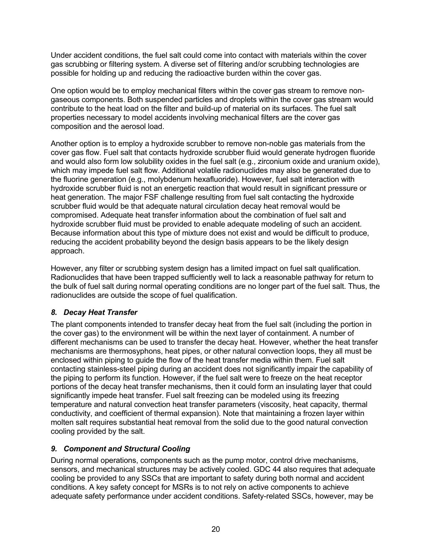Under accident conditions, the fuel salt could come into contact with materials within the cover gas scrubbing or filtering system. A diverse set of filtering and/or scrubbing technologies are possible for holding up and reducing the radioactive burden within the cover gas.

One option would be to employ mechanical filters within the cover gas stream to remove nongaseous components. Both suspended particles and droplets within the cover gas stream would contribute to the heat load on the filter and build-up of material on its surfaces. The fuel salt properties necessary to model accidents involving mechanical filters are the cover gas composition and the aerosol load.

Another option is to employ a hydroxide scrubber to remove non-noble gas materials from the cover gas flow. Fuel salt that contacts hydroxide scrubber fluid would generate hydrogen fluoride and would also form low solubility oxides in the fuel salt (e.g., zirconium oxide and uranium oxide), which may impede fuel salt flow. Additional volatile radionuclides may also be generated due to the fluorine generation (e.g., molybdenum hexafluoride). However, fuel salt interaction with hydroxide scrubber fluid is not an energetic reaction that would result in significant pressure or heat generation. The major FSF challenge resulting from fuel salt contacting the hydroxide scrubber fluid would be that adequate natural circulation decay heat removal would be compromised. Adequate heat transfer information about the combination of fuel salt and hydroxide scrubber fluid must be provided to enable adequate modeling of such an accident. Because information about this type of mixture does not exist and would be difficult to produce, reducing the accident probability beyond the design basis appears to be the likely design approach.

However, any filter or scrubbing system design has a limited impact on fuel salt qualification. Radionuclides that have been trapped sufficiently well to lack a reasonable pathway for return to the bulk of fuel salt during normal operating conditions are no longer part of the fuel salt. Thus, the radionuclides are outside the scope of fuel qualification.

#### *8. Decay Heat Transfer*

The plant components intended to transfer decay heat from the fuel salt (including the portion in the cover gas) to the environment will be within the next layer of containment. A number of different mechanisms can be used to transfer the decay heat. However, whether the heat transfer mechanisms are thermosyphons, heat pipes, or other natural convection loops, they all must be enclosed within piping to guide the flow of the heat transfer media within them. Fuel salt contacting stainless-steel piping during an accident does not significantly impair the capability of the piping to perform its function. However, if the fuel salt were to freeze on the heat receptor portions of the decay heat transfer mechanisms, then it could form an insulating layer that could significantly impede heat transfer. Fuel salt freezing can be modeled using its freezing temperature and natural convection heat transfer parameters (viscosity, heat capacity, thermal conductivity, and coefficient of thermal expansion). Note that maintaining a frozen layer within molten salt requires substantial heat removal from the solid due to the good natural convection cooling provided by the salt.

#### *9. Component and Structural Cooling*

During normal operations, components such as the pump motor, control drive mechanisms, sensors, and mechanical structures may be actively cooled. GDC 44 also requires that adequate cooling be provided to any SSCs that are important to safety during both normal and accident conditions. A key safety concept for MSRs is to not rely on active components to achieve adequate safety performance under accident conditions. Safety-related SSCs, however, may be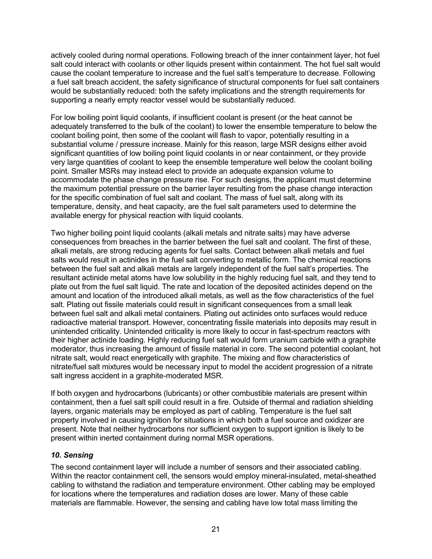actively cooled during normal operations. Following breach of the inner containment layer, hot fuel salt could interact with coolants or other liquids present within containment. The hot fuel salt would cause the coolant temperature to increase and the fuel salt's temperature to decrease. Following a fuel salt breach accident, the safety significance of structural components for fuel salt containers would be substantially reduced: both the safety implications and the strength requirements for supporting a nearly empty reactor vessel would be substantially reduced.

For low boiling point liquid coolants, if insufficient coolant is present (or the heat cannot be adequately transferred to the bulk of the coolant) to lower the ensemble temperature to below the coolant boiling point, then some of the coolant will flash to vapor, potentially resulting in a substantial volume / pressure increase. Mainly for this reason, large MSR designs either avoid significant quantities of low boiling point liquid coolants in or near containment, or they provide very large quantities of coolant to keep the ensemble temperature well below the coolant boiling point. Smaller MSRs may instead elect to provide an adequate expansion volume to accommodate the phase change pressure rise. For such designs, the applicant must determine the maximum potential pressure on the barrier layer resulting from the phase change interaction for the specific combination of fuel salt and coolant. The mass of fuel salt, along with its temperature, density, and heat capacity, are the fuel salt parameters used to determine the available energy for physical reaction with liquid coolants.

Two higher boiling point liquid coolants (alkali metals and nitrate salts) may have adverse consequences from breaches in the barrier between the fuel salt and coolant. The first of these, alkali metals, are strong reducing agents for fuel salts. Contact between alkali metals and fuel salts would result in actinides in the fuel salt converting to metallic form. The chemical reactions between the fuel salt and alkali metals are largely independent of the fuel salt's properties. The resultant actinide metal atoms have low solubility in the highly reducing fuel salt, and they tend to plate out from the fuel salt liquid. The rate and location of the deposited actinides depend on the amount and location of the introduced alkali metals, as well as the flow characteristics of the fuel salt. Plating out fissile materials could result in significant consequences from a small leak between fuel salt and alkali metal containers. Plating out actinides onto surfaces would reduce radioactive material transport. However, concentrating fissile materials into deposits may result in unintended criticality. Unintended criticality is more likely to occur in fast-spectrum reactors with their higher actinide loading. Highly reducing fuel salt would form uranium carbide with a graphite moderator, thus increasing the amount of fissile material in core. The second potential coolant, hot nitrate salt, would react energetically with graphite. The mixing and flow characteristics of nitrate/fuel salt mixtures would be necessary input to model the accident progression of a nitrate salt ingress accident in a graphite-moderated MSR.

If both oxygen and hydrocarbons (lubricants) or other combustible materials are present within containment, then a fuel salt spill could result in a fire. Outside of thermal and radiation shielding layers, organic materials may be employed as part of cabling. Temperature is the fuel salt property involved in causing ignition for situations in which both a fuel source and oxidizer are present. Note that neither hydrocarbons nor sufficient oxygen to support ignition is likely to be present within inerted containment during normal MSR operations.

#### *10. Sensing*

The second containment layer will include a number of sensors and their associated cabling. Within the reactor containment cell, the sensors would employ mineral-insulated, metal-sheathed cabling to withstand the radiation and temperature environment. Other cabling may be employed for locations where the temperatures and radiation doses are lower. Many of these cable materials are flammable. However, the sensing and cabling have low total mass limiting the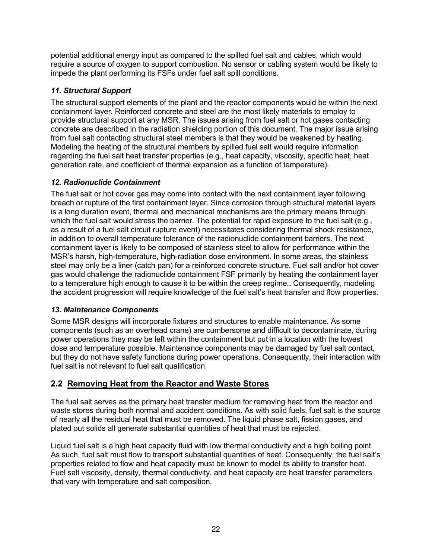potential additional energy input as compared to the spilled fuel salt and cables, which would require a source of oxygen to support combustion. No sensor or cabling system would be likely to impede the plant performing its FSFs under fuel salt spill conditions.

## *11. Structural Support*

The structural support elements of the plant and the reactor components would be within the next containment layer. Reinforced concrete and steel are the most likely materials to employ to provide structural support at any MSR. The issues arising from fuel salt or hot gases contacting concrete are described in the radiation shielding portion of this document. The major issue arising from fuel salt contacting structural steel members is that they would be weakened by heating. Modeling the heating of the structural members by spilled fuel salt would require information regarding the fuel salt heat transfer properties (e.g., heat capacity, viscosity, specific heat, heat generation rate, and coefficient of thermal expansion as a function of temperature).

## *12. Radionuclide Containment*

The fuel salt or hot cover gas may come into contact with the next containment layer following breach or rupture of the first containment layer. Since corrosion through structural material layers is a long duration event, thermal and mechanical mechanisms are the primary means through which the fuel salt would stress the barrier. The potential for rapid exposure to the fuel salt (e.g., as a result of a fuel salt circuit rupture event) necessitates considering thermal shock resistance, in addition to overall temperature tolerance of the radionuclide containment barriers. The next containment layer is likely to be composed of stainless steel to allow for performance within the MSR's harsh, high-temperature, high-radiation dose environment. In some areas, the stainless steel may only be a liner (catch pan) for a reinforced concrete structure. Fuel salt and/or hot cover gas would challenge the radionuclide containment FSF primarily by heating the containment layer to a temperature high enough to cause it to be within the creep regime.. Consequently, modeling the accident progression will require knowledge of the fuel salt's heat transfer and flow properties.

#### *13. Maintenance Components*

Some MSR designs will incorporate fixtures and structures to enable maintenance. As some components (such as an overhead crane) are cumbersome and difficult to decontaminate, during power operations they may be left within the containment but put in a location with the lowest dose and temperature possible. Maintenance components may be damaged by fuel salt contact, but they do not have safety functions during power operations. Consequently, their interaction with fuel salt is not relevant to fuel salt qualification.

# **2.2 Removing Heat from the Reactor and Waste Stores**

The fuel salt serves as the primary heat transfer medium for removing heat from the reactor and waste stores during both normal and accident conditions. As with solid fuels, fuel salt is the source of nearly all the residual heat that must be removed. The liquid phase salt, fission gases, and plated out solids all generate substantial quantities of heat that must be rejected.

Liquid fuel salt is a high heat capacity fluid with low thermal conductivity and a high boiling point. As such, fuel salt must flow to transport substantial quantities of heat. Consequently, the fuel salt's properties related to flow and heat capacity must be known to model its ability to transfer heat. Fuel salt viscosity, density, thermal conductivity, and heat capacity are heat transfer parameters that vary with temperature and salt composition.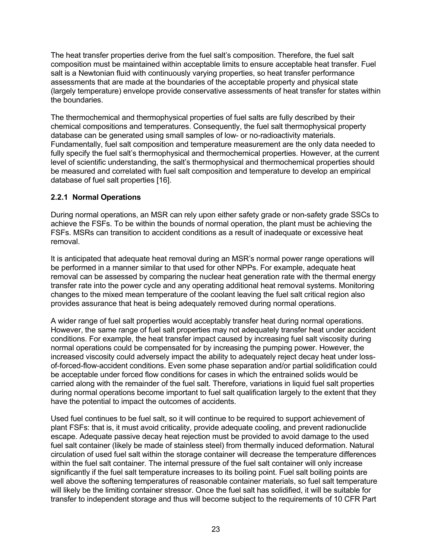The heat transfer properties derive from the fuel salt's composition. Therefore, the fuel salt composition must be maintained within acceptable limits to ensure acceptable heat transfer. Fuel salt is a Newtonian fluid with continuously varying properties, so heat transfer performance assessments that are made at the boundaries of the acceptable property and physical state (largely temperature) envelope provide conservative assessments of heat transfer for states within the boundaries.

The thermochemical and thermophysical properties of fuel salts are fully described by their chemical compositions and temperatures. Consequently, the fuel salt thermophysical property database can be generated using small samples of low- or no-radioactivity materials. Fundamentally, fuel salt composition and temperature measurement are the only data needed to fully specify the fuel salt's thermophysical and thermochemical properties. However, at the current level of scientific understanding, the salt's thermophysical and thermochemical properties should be measured and correlated with fuel salt composition and temperature to develop an empirical database of fuel salt properties [16].

#### **2.2.1 Normal Operations**

During normal operations, an MSR can rely upon either safety grade or non-safety grade SSCs to achieve the FSFs. To be within the bounds of normal operation, the plant must be achieving the FSFs. MSRs can transition to accident conditions as a result of inadequate or excessive heat removal.

It is anticipated that adequate heat removal during an MSR's normal power range operations will be performed in a manner similar to that used for other NPPs. For example, adequate heat removal can be assessed by comparing the nuclear heat generation rate with the thermal energy transfer rate into the power cycle and any operating additional heat removal systems. Monitoring changes to the mixed mean temperature of the coolant leaving the fuel salt critical region also provides assurance that heat is being adequately removed during normal operations.

A wider range of fuel salt properties would acceptably transfer heat during normal operations. However, the same range of fuel salt properties may not adequately transfer heat under accident conditions. For example, the heat transfer impact caused by increasing fuel salt viscosity during normal operations could be compensated for by increasing the pumping power. However, the increased viscosity could adversely impact the ability to adequately reject decay heat under lossof-forced-flow-accident conditions. Even some phase separation and/or partial solidification could be acceptable under forced flow conditions for cases in which the entrained solids would be carried along with the remainder of the fuel salt. Therefore, variations in liquid fuel salt properties during normal operations become important to fuel salt qualification largely to the extent that they have the potential to impact the outcomes of accidents.

Used fuel continues to be fuel salt, so it will continue to be required to support achievement of plant FSFs: that is, it must avoid criticality, provide adequate cooling, and prevent radionuclide escape. Adequate passive decay heat rejection must be provided to avoid damage to the used fuel salt container (likely be made of stainless steel) from thermally induced deformation. Natural circulation of used fuel salt within the storage container will decrease the temperature differences within the fuel salt container. The internal pressure of the fuel salt container will only increase significantly if the fuel salt temperature increases to its boiling point. Fuel salt boiling points are well above the softening temperatures of reasonable container materials, so fuel salt temperature will likely be the limiting container stressor. Once the fuel salt has solidified, it will be suitable for transfer to independent storage and thus will become subject to the requirements of 10 CFR Part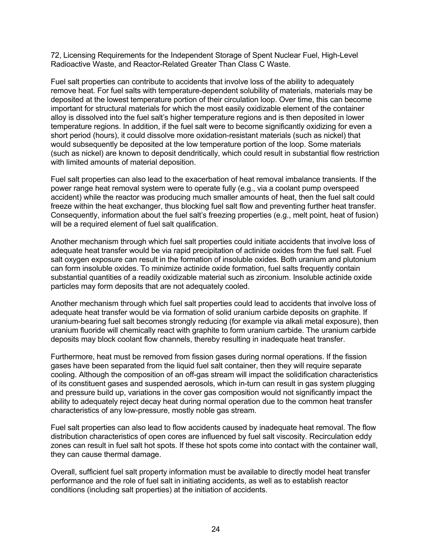72, Licensing Requirements for the Independent Storage of Spent Nuclear Fuel, High-Level Radioactive Waste, and Reactor-Related Greater Than Class C Waste.

Fuel salt properties can contribute to accidents that involve loss of the ability to adequately remove heat. For fuel salts with temperature-dependent solubility of materials, materials may be deposited at the lowest temperature portion of their circulation loop. Over time, this can become important for structural materials for which the most easily oxidizable element of the container alloy is dissolved into the fuel salt's higher temperature regions and is then deposited in lower temperature regions. In addition, if the fuel salt were to become significantly oxidizing for even a short period (hours), it could dissolve more oxidation-resistant materials (such as nickel) that would subsequently be deposited at the low temperature portion of the loop. Some materials (such as nickel) are known to deposit dendritically, which could result in substantial flow restriction with limited amounts of material deposition.

Fuel salt properties can also lead to the exacerbation of heat removal imbalance transients. If the power range heat removal system were to operate fully (e.g., via a coolant pump overspeed accident) while the reactor was producing much smaller amounts of heat, then the fuel salt could freeze within the heat exchanger, thus blocking fuel salt flow and preventing further heat transfer. Consequently, information about the fuel salt's freezing properties (e.g., melt point, heat of fusion) will be a required element of fuel salt qualification.

Another mechanism through which fuel salt properties could initiate accidents that involve loss of adequate heat transfer would be via rapid precipitation of actinide oxides from the fuel salt. Fuel salt oxygen exposure can result in the formation of insoluble oxides. Both uranium and plutonium can form insoluble oxides. To minimize actinide oxide formation, fuel salts frequently contain substantial quantities of a readily oxidizable material such as zirconium. Insoluble actinide oxide particles may form deposits that are not adequately cooled.

Another mechanism through which fuel salt properties could lead to accidents that involve loss of adequate heat transfer would be via formation of solid uranium carbide deposits on graphite. If uranium-bearing fuel salt becomes strongly reducing (for example via alkali metal exposure), then uranium fluoride will chemically react with graphite to form uranium carbide. The uranium carbide deposits may block coolant flow channels, thereby resulting in inadequate heat transfer.

Furthermore, heat must be removed from fission gases during normal operations. If the fission gases have been separated from the liquid fuel salt container, then they will require separate cooling. Although the composition of an off-gas stream will impact the solidification characteristics of its constituent gases and suspended aerosols, which in-turn can result in gas system plugging and pressure build up, variations in the cover gas composition would not significantly impact the ability to adequately reject decay heat during normal operation due to the common heat transfer characteristics of any low-pressure, mostly noble gas stream.

Fuel salt properties can also lead to flow accidents caused by inadequate heat removal. The flow distribution characteristics of open cores are influenced by fuel salt viscosity. Recirculation eddy zones can result in fuel salt hot spots. If these hot spots come into contact with the container wall, they can cause thermal damage.

Overall, sufficient fuel salt property information must be available to directly model heat transfer performance and the role of fuel salt in initiating accidents, as well as to establish reactor conditions (including salt properties) at the initiation of accidents.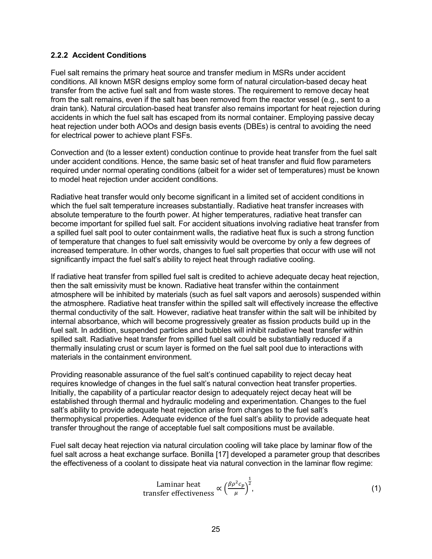#### **2.2.2 Accident Conditions**

Fuel salt remains the primary heat source and transfer medium in MSRs under accident conditions. All known MSR designs employ some form of natural circulation-based decay heat transfer from the active fuel salt and from waste stores. The requirement to remove decay heat from the salt remains, even if the salt has been removed from the reactor vessel (e.g., sent to a drain tank). Natural circulation-based heat transfer also remains important for heat rejection during accidents in which the fuel salt has escaped from its normal container. Employing passive decay heat rejection under both AOOs and design basis events (DBEs) is central to avoiding the need for electrical power to achieve plant FSFs.

Convection and (to a lesser extent) conduction continue to provide heat transfer from the fuel salt under accident conditions. Hence, the same basic set of heat transfer and fluid flow parameters required under normal operating conditions (albeit for a wider set of temperatures) must be known to model heat rejection under accident conditions.

Radiative heat transfer would only become significant in a limited set of accident conditions in which the fuel salt temperature increases substantially. Radiative heat transfer increases with absolute temperature to the fourth power. At higher temperatures, radiative heat transfer can become important for spilled fuel salt. For accident situations involving radiative heat transfer from a spilled fuel salt pool to outer containment walls, the radiative heat flux is such a strong function of temperature that changes to fuel salt emissivity would be overcome by only a few degrees of increased temperature. In other words, changes to fuel salt properties that occur with use will not significantly impact the fuel salt's ability to reject heat through radiative cooling.

If radiative heat transfer from spilled fuel salt is credited to achieve adequate decay heat rejection, then the salt emissivity must be known. Radiative heat transfer within the containment atmosphere will be inhibited by materials (such as fuel salt vapors and aerosols) suspended within the atmosphere. Radiative heat transfer within the spilled salt will effectively increase the effective thermal conductivity of the salt. However, radiative heat transfer within the salt will be inhibited by internal absorbance, which will become progressively greater as fission products build up in the fuel salt. In addition, suspended particles and bubbles will inhibit radiative heat transfer within spilled salt. Radiative heat transfer from spilled fuel salt could be substantially reduced if a thermally insulating crust or scum layer is formed on the fuel salt pool due to interactions with materials in the containment environment.

Providing reasonable assurance of the fuel salt's continued capability to reject decay heat requires knowledge of changes in the fuel salt's natural convection heat transfer properties. Initially, the capability of a particular reactor design to adequately reject decay heat will be established through thermal and hydraulic modeling and experimentation. Changes to the fuel salt's ability to provide adequate heat rejection arise from changes to the fuel salt's thermophysical properties. Adequate evidence of the fuel salt's ability to provide adequate heat transfer throughout the range of acceptable fuel salt compositions must be available.

Fuel salt decay heat rejection via natural circulation cooling will take place by laminar flow of the fuel salt across a heat exchange surface. Bonilla [17] developed a parameter group that describes the effectiveness of a coolant to dissipate heat via natural convection in the laminar flow regime:

Laminar heat  
transfer effectiveness 
$$
\propto \left(\frac{\beta \rho^2 c_p}{\mu}\right)^{\frac{1}{2}}
$$
, (1)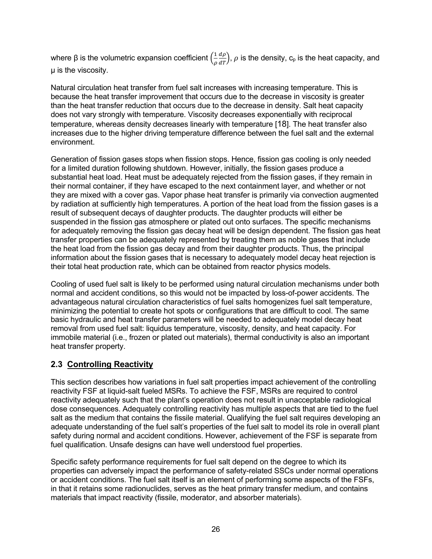where β is the volumetric expansion coefficient  $( \frac{1}{\epsilon}$  $\rho$  $\frac{d\rho}{d T}$ ),  $\rho$  is the density,  $\mathsf{c}_\mathsf{p}$  is the heat capacity, and µ is the viscosity.

Natural circulation heat transfer from fuel salt increases with increasing temperature. This is because the heat transfer improvement that occurs due to the decrease in viscosity is greater than the heat transfer reduction that occurs due to the decrease in density. Salt heat capacity does not vary strongly with temperature. Viscosity decreases exponentially with reciprocal temperature, whereas density decreases linearly with temperature [18]. The heat transfer also increases due to the higher driving temperature difference between the fuel salt and the external environment.

Generation of fission gases stops when fission stops. Hence, fission gas cooling is only needed for a limited duration following shutdown. However, initially, the fission gases produce a substantial heat load. Heat must be adequately rejected from the fission gases, if they remain in their normal container, if they have escaped to the next containment layer, and whether or not they are mixed with a cover gas. Vapor phase heat transfer is primarily via convection augmented by radiation at sufficiently high temperatures. A portion of the heat load from the fission gases is a result of subsequent decays of daughter products. The daughter products will either be suspended in the fission gas atmosphere or plated out onto surfaces. The specific mechanisms for adequately removing the fission gas decay heat will be design dependent. The fission gas heat transfer properties can be adequately represented by treating them as noble gases that include the heat load from the fission gas decay and from their daughter products. Thus, the principal information about the fission gases that is necessary to adequately model decay heat rejection is their total heat production rate, which can be obtained from reactor physics models.

Cooling of used fuel salt is likely to be performed using natural circulation mechanisms under both normal and accident conditions, so this would not be impacted by loss-of-power accidents. The advantageous natural circulation characteristics of fuel salts homogenizes fuel salt temperature, minimizing the potential to create hot spots or configurations that are difficult to cool. The same basic hydraulic and heat transfer parameters will be needed to adequately model decay heat removal from used fuel salt: liquidus temperature, viscosity, density, and heat capacity. For immobile material (i.e., frozen or plated out materials), thermal conductivity is also an important heat transfer property.

# **2.3 Controlling Reactivity**

This section describes how variations in fuel salt properties impact achievement of the controlling reactivity FSF at liquid-salt fueled MSRs. To achieve the FSF, MSRs are required to control reactivity adequately such that the plant's operation does not result in unacceptable radiological dose consequences. Adequately controlling reactivity has multiple aspects that are tied to the fuel salt as the medium that contains the fissile material. Qualifying the fuel salt requires developing an adequate understanding of the fuel salt's properties of the fuel salt to model its role in overall plant safety during normal and accident conditions. However, achievement of the FSF is separate from fuel qualification. Unsafe designs can have well understood fuel properties.

Specific safety performance requirements for fuel salt depend on the degree to which its properties can adversely impact the performance of safety-related SSCs under normal operations or accident conditions. The fuel salt itself is an element of performing some aspects of the FSFs, in that it retains some radionuclides, serves as the heat primary transfer medium, and contains materials that impact reactivity (fissile, moderator, and absorber materials).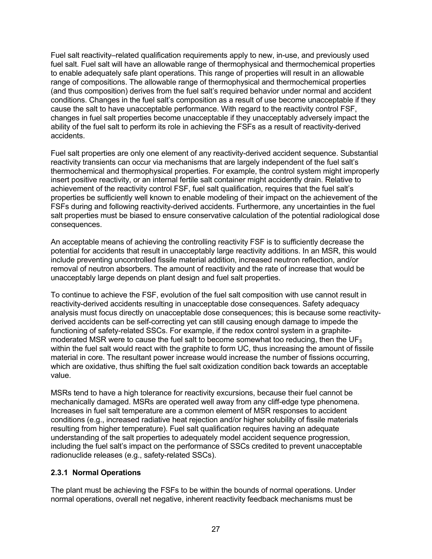Fuel salt reactivity–related qualification requirements apply to new, in-use, and previously used fuel salt. Fuel salt will have an allowable range of thermophysical and thermochemical properties to enable adequately safe plant operations. This range of properties will result in an allowable range of compositions. The allowable range of thermophysical and thermochemical properties (and thus composition) derives from the fuel salt's required behavior under normal and accident conditions. Changes in the fuel salt's composition as a result of use become unacceptable if they cause the salt to have unacceptable performance. With regard to the reactivity control FSF, changes in fuel salt properties become unacceptable if they unacceptably adversely impact the ability of the fuel salt to perform its role in achieving the FSFs as a result of reactivity-derived accidents.

Fuel salt properties are only one element of any reactivity-derived accident sequence. Substantial reactivity transients can occur via mechanisms that are largely independent of the fuel salt's thermochemical and thermophysical properties. For example, the control system might improperly insert positive reactivity, or an internal fertile salt container might accidently drain. Relative to achievement of the reactivity control FSF, fuel salt qualification, requires that the fuel salt's properties be sufficiently well known to enable modeling of their impact on the achievement of the FSFs during and following reactivity-derived accidents. Furthermore, any uncertainties in the fuel salt properties must be biased to ensure conservative calculation of the potential radiological dose consequences.

An acceptable means of achieving the controlling reactivity FSF is to sufficiently decrease the potential for accidents that result in unacceptably large reactivity additions. In an MSR, this would include preventing uncontrolled fissile material addition, increased neutron reflection, and/or removal of neutron absorbers. The amount of reactivity and the rate of increase that would be unacceptably large depends on plant design and fuel salt properties.

To continue to achieve the FSF, evolution of the fuel salt composition with use cannot result in reactivity-derived accidents resulting in unacceptable dose consequences. Safety adequacy analysis must focus directly on unacceptable dose consequences; this is because some reactivityderived accidents can be self-correcting yet can still causing enough damage to impede the functioning of safety-related SSCs. For example, if the redox control system in a graphitemoderated MSR were to cause the fuel salt to become somewhat too reducing, then the  $UF_3$ within the fuel salt would react with the graphite to form UC, thus increasing the amount of fissile material in core. The resultant power increase would increase the number of fissions occurring, which are oxidative, thus shifting the fuel salt oxidization condition back towards an acceptable value.

MSRs tend to have a high tolerance for reactivity excursions, because their fuel cannot be mechanically damaged. MSRs are operated well away from any cliff-edge type phenomena. Increases in fuel salt temperature are a common element of MSR responses to accident conditions (e.g., increased radiative heat rejection and/or higher solubility of fissile materials resulting from higher temperature). Fuel salt qualification requires having an adequate understanding of the salt properties to adequately model accident sequence progression, including the fuel salt's impact on the performance of SSCs credited to prevent unacceptable radionuclide releases (e.g., safety-related SSCs).

#### **2.3.1 Normal Operations**

The plant must be achieving the FSFs to be within the bounds of normal operations. Under normal operations, overall net negative, inherent reactivity feedback mechanisms must be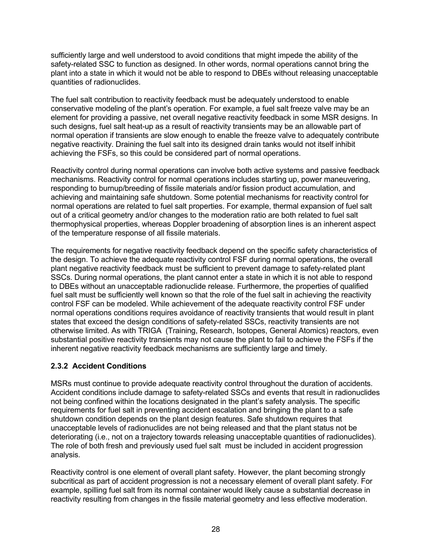sufficiently large and well understood to avoid conditions that might impede the ability of the safety-related SSC to function as designed. In other words, normal operations cannot bring the plant into a state in which it would not be able to respond to DBEs without releasing unacceptable quantities of radionuclides.

The fuel salt contribution to reactivity feedback must be adequately understood to enable conservative modeling of the plant's operation. For example, a fuel salt freeze valve may be an element for providing a passive, net overall negative reactivity feedback in some MSR designs. In such designs, fuel salt heat-up as a result of reactivity transients may be an allowable part of normal operation if transients are slow enough to enable the freeze valve to adequately contribute negative reactivity. Draining the fuel salt into its designed drain tanks would not itself inhibit achieving the FSFs, so this could be considered part of normal operations.

Reactivity control during normal operations can involve both active systems and passive feedback mechanisms. Reactivity control for normal operations includes starting up, power maneuvering, responding to burnup/breeding of fissile materials and/or fission product accumulation, and achieving and maintaining safe shutdown. Some potential mechanisms for reactivity control for normal operations are related to fuel salt properties. For example, thermal expansion of fuel salt out of a critical geometry and/or changes to the moderation ratio are both related to fuel salt thermophysical properties, whereas Doppler broadening of absorption lines is an inherent aspect of the temperature response of all fissile materials.

The requirements for negative reactivity feedback depend on the specific safety characteristics of the design. To achieve the adequate reactivity control FSF during normal operations, the overall plant negative reactivity feedback must be sufficient to prevent damage to safety-related plant SSCs. During normal operations, the plant cannot enter a state in which it is not able to respond to DBEs without an unacceptable radionuclide release. Furthermore, the properties of qualified fuel salt must be sufficiently well known so that the role of the fuel salt in achieving the reactivity control FSF can be modeled. While achievement of the adequate reactivity control FSF under normal operations conditions requires avoidance of reactivity transients that would result in plant states that exceed the design conditions of safety-related SSCs, reactivity transients are not otherwise limited. As with TRIGA (Training, Research, Isotopes, General Atomics) reactors, even substantial positive reactivity transients may not cause the plant to fail to achieve the FSFs if the inherent negative reactivity feedback mechanisms are sufficiently large and timely.

#### **2.3.2 Accident Conditions**

MSRs must continue to provide adequate reactivity control throughout the duration of accidents. Accident conditions include damage to safety-related SSCs and events that result in radionuclides not being confined within the locations designated in the plant's safety analysis. The specific requirements for fuel salt in preventing accident escalation and bringing the plant to a safe shutdown condition depends on the plant design features. Safe shutdown requires that unacceptable levels of radionuclides are not being released and that the plant status not be deteriorating (i.e., not on a trajectory towards releasing unacceptable quantities of radionuclides). The role of both fresh and previously used fuel salt must be included in accident progression analysis.

Reactivity control is one element of overall plant safety. However, the plant becoming strongly subcritical as part of accident progression is not a necessary element of overall plant safety. For example, spilling fuel salt from its normal container would likely cause a substantial decrease in reactivity resulting from changes in the fissile material geometry and less effective moderation.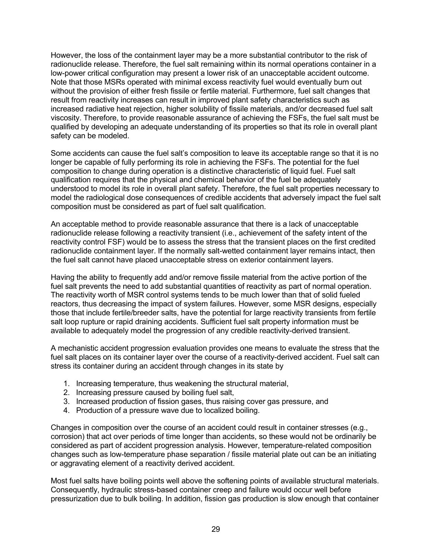However, the loss of the containment layer may be a more substantial contributor to the risk of radionuclide release. Therefore, the fuel salt remaining within its normal operations container in a low-power critical configuration may present a lower risk of an unacceptable accident outcome. Note that those MSRs operated with minimal excess reactivity fuel would eventually burn out without the provision of either fresh fissile or fertile material. Furthermore, fuel salt changes that result from reactivity increases can result in improved plant safety characteristics such as increased radiative heat rejection, higher solubility of fissile materials, and/or decreased fuel salt viscosity. Therefore, to provide reasonable assurance of achieving the FSFs, the fuel salt must be qualified by developing an adequate understanding of its properties so that its role in overall plant safety can be modeled.

Some accidents can cause the fuel salt's composition to leave its acceptable range so that it is no longer be capable of fully performing its role in achieving the FSFs. The potential for the fuel composition to change during operation is a distinctive characteristic of liquid fuel. Fuel salt qualification requires that the physical and chemical behavior of the fuel be adequately understood to model its role in overall plant safety. Therefore, the fuel salt properties necessary to model the radiological dose consequences of credible accidents that adversely impact the fuel salt composition must be considered as part of fuel salt qualification.

An acceptable method to provide reasonable assurance that there is a lack of unacceptable radionuclide release following a reactivity transient (i.e., achievement of the safety intent of the reactivity control FSF) would be to assess the stress that the transient places on the first credited radionuclide containment layer. If the normally salt-wetted containment layer remains intact, then the fuel salt cannot have placed unacceptable stress on exterior containment layers.

Having the ability to frequently add and/or remove fissile material from the active portion of the fuel salt prevents the need to add substantial quantities of reactivity as part of normal operation. The reactivity worth of MSR control systems tends to be much lower than that of solid fueled reactors, thus decreasing the impact of system failures. However, some MSR designs, especially those that include fertile/breeder salts, have the potential for large reactivity transients from fertile salt loop rupture or rapid draining accidents. Sufficient fuel salt property information must be available to adequately model the progression of any credible reactivity-derived transient.

A mechanistic accident progression evaluation provides one means to evaluate the stress that the fuel salt places on its container layer over the course of a reactivity-derived accident. Fuel salt can stress its container during an accident through changes in its state by

- 1. Increasing temperature, thus weakening the structural material,
- 2. Increasing pressure caused by boiling fuel salt,
- 3. Increased production of fission gases, thus raising cover gas pressure, and
- 4. Production of a pressure wave due to localized boiling.

Changes in composition over the course of an accident could result in container stresses (e.g., corrosion) that act over periods of time longer than accidents, so these would not be ordinarily be considered as part of accident progression analysis. However, temperature-related composition changes such as low-temperature phase separation / fissile material plate out can be an initiating or aggravating element of a reactivity derived accident.

Most fuel salts have boiling points well above the softening points of available structural materials. Consequently, hydraulic stress-based container creep and failure would occur well before pressurization due to bulk boiling. In addition, fission gas production is slow enough that container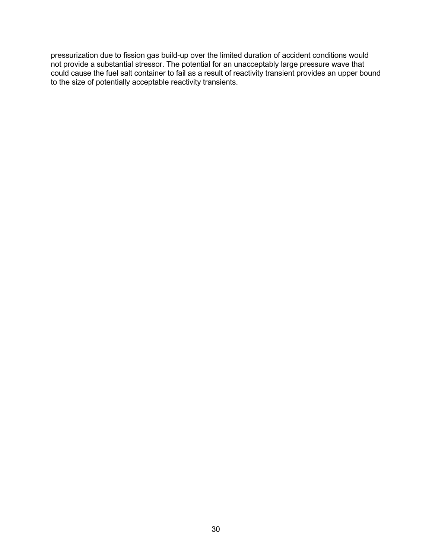pressurization due to fission gas build-up over the limited duration of accident conditions would not provide a substantial stressor. The potential for an unacceptably large pressure wave that could cause the fuel salt container to fail as a result of reactivity transient provides an upper bound to the size of potentially acceptable reactivity transients.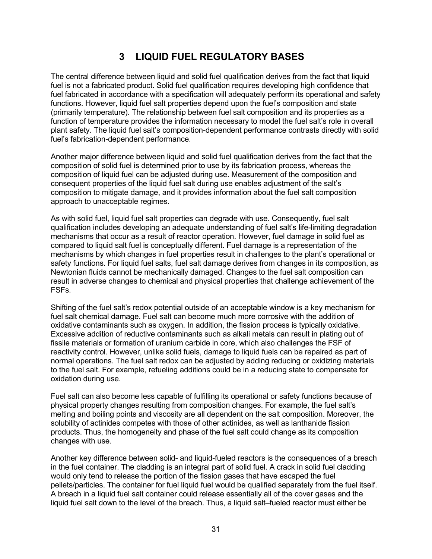# **3 LIQUID FUEL REGULATORY BASES**

The central difference between liquid and solid fuel qualification derives from the fact that liquid fuel is not a fabricated product. Solid fuel qualification requires developing high confidence that fuel fabricated in accordance with a specification will adequately perform its operational and safety functions. However, liquid fuel salt properties depend upon the fuel's composition and state (primarily temperature). The relationship between fuel salt composition and its properties as a function of temperature provides the information necessary to model the fuel salt's role in overall plant safety. The liquid fuel salt's composition-dependent performance contrasts directly with solid fuel's fabrication-dependent performance.

Another major difference between liquid and solid fuel qualification derives from the fact that the composition of solid fuel is determined prior to use by its fabrication process, whereas the composition of liquid fuel can be adjusted during use. Measurement of the composition and consequent properties of the liquid fuel salt during use enables adjustment of the salt's composition to mitigate damage, and it provides information about the fuel salt composition approach to unacceptable regimes.

As with solid fuel, liquid fuel salt properties can degrade with use. Consequently, fuel salt qualification includes developing an adequate understanding of fuel salt's life-limiting degradation mechanisms that occur as a result of reactor operation. However, fuel damage in solid fuel as compared to liquid salt fuel is conceptually different. Fuel damage is a representation of the mechanisms by which changes in fuel properties result in challenges to the plant's operational or safety functions. For liquid fuel salts, fuel salt damage derives from changes in its composition, as Newtonian fluids cannot be mechanically damaged. Changes to the fuel salt composition can result in adverse changes to chemical and physical properties that challenge achievement of the FSFs.

Shifting of the fuel salt's redox potential outside of an acceptable window is a key mechanism for fuel salt chemical damage. Fuel salt can become much more corrosive with the addition of oxidative contaminants such as oxygen. In addition, the fission process is typically oxidative. Excessive addition of reductive contaminants such as alkali metals can result in plating out of fissile materials or formation of uranium carbide in core, which also challenges the FSF of reactivity control. However, unlike solid fuels, damage to liquid fuels can be repaired as part of normal operations. The fuel salt redox can be adjusted by adding reducing or oxidizing materials to the fuel salt. For example, refueling additions could be in a reducing state to compensate for oxidation during use.

Fuel salt can also become less capable of fulfilling its operational or safety functions because of physical property changes resulting from composition changes. For example, the fuel salt's melting and boiling points and viscosity are all dependent on the salt composition. Moreover, the solubility of actinides competes with those of other actinides, as well as lanthanide fission products. Thus, the homogeneity and phase of the fuel salt could change as its composition changes with use.

Another key difference between solid- and liquid-fueled reactors is the consequences of a breach in the fuel container. The cladding is an integral part of solid fuel. A crack in solid fuel cladding would only tend to release the portion of the fission gases that have escaped the fuel pellets/particles. The container for fuel liquid fuel would be qualified separately from the fuel itself. A breach in a liquid fuel salt container could release essentially all of the cover gases and the liquid fuel salt down to the level of the breach. Thus, a liquid salt–fueled reactor must either be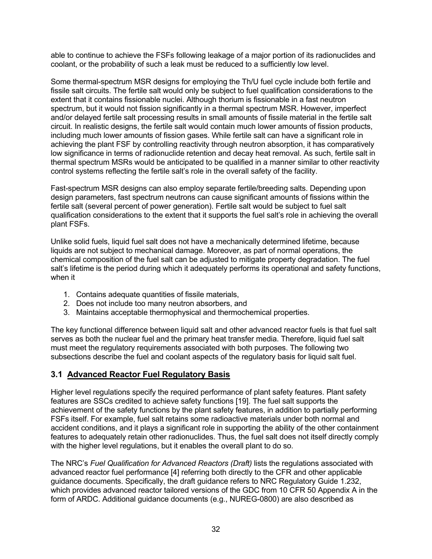able to continue to achieve the FSFs following leakage of a major portion of its radionuclides and coolant, or the probability of such a leak must be reduced to a sufficiently low level.

Some thermal-spectrum MSR designs for employing the Th/U fuel cycle include both fertile and fissile salt circuits. The fertile salt would only be subject to fuel qualification considerations to the extent that it contains fissionable nuclei. Although thorium is fissionable in a fast neutron spectrum, but it would not fission significantly in a thermal spectrum MSR. However, imperfect and/or delayed fertile salt processing results in small amounts of fissile material in the fertile salt circuit. In realistic designs, the fertile salt would contain much lower amounts of fission products, including much lower amounts of fission gases. While fertile salt can have a significant role in achieving the plant FSF by controlling reactivity through neutron absorption, it has comparatively low significance in terms of radionuclide retention and decay heat removal. As such, fertile salt in thermal spectrum MSRs would be anticipated to be qualified in a manner similar to other reactivity control systems reflecting the fertile salt's role in the overall safety of the facility.

Fast-spectrum MSR designs can also employ separate fertile/breeding salts. Depending upon design parameters, fast spectrum neutrons can cause significant amounts of fissions within the fertile salt (several percent of power generation). Fertile salt would be subject to fuel salt qualification considerations to the extent that it supports the fuel salt's role in achieving the overall plant FSFs.

Unlike solid fuels, liquid fuel salt does not have a mechanically determined lifetime, because liquids are not subject to mechanical damage. Moreover, as part of normal operations, the chemical composition of the fuel salt can be adjusted to mitigate property degradation. The fuel salt's lifetime is the period during which it adequately performs its operational and safety functions, when it

- 1. Contains adequate quantities of fissile materials,
- 2. Does not include too many neutron absorbers, and
- 3. Maintains acceptable thermophysical and thermochemical properties.

The key functional difference between liquid salt and other advanced reactor fuels is that fuel salt serves as both the nuclear fuel and the primary heat transfer media. Therefore, liquid fuel salt must meet the regulatory requirements associated with both purposes. The following two subsections describe the fuel and coolant aspects of the regulatory basis for liquid salt fuel.

#### **3.1 Advanced Reactor Fuel Regulatory Basis**

Higher level regulations specify the required performance of plant safety features. Plant safety features are SSCs credited to achieve safety functions [19]. The fuel salt supports the achievement of the safety functions by the plant safety features, in addition to partially performing FSFs itself. For example, fuel salt retains some radioactive materials under both normal and accident conditions, and it plays a significant role in supporting the ability of the other containment features to adequately retain other radionuclides. Thus, the fuel salt does not itself directly comply with the higher level regulations, but it enables the overall plant to do so.

The NRC's *Fuel Qualification for Advanced Reactors (Draft)* lists the regulations associated with advanced reactor fuel performance [4] referring both directly to the CFR and other applicable guidance documents. Specifically, the draft guidance refers to NRC Regulatory Guide 1.232, which provides advanced reactor tailored versions of the GDC from 10 CFR 50 Appendix A in the form of ARDC. Additional guidance documents (e.g., NUREG-0800) are also described as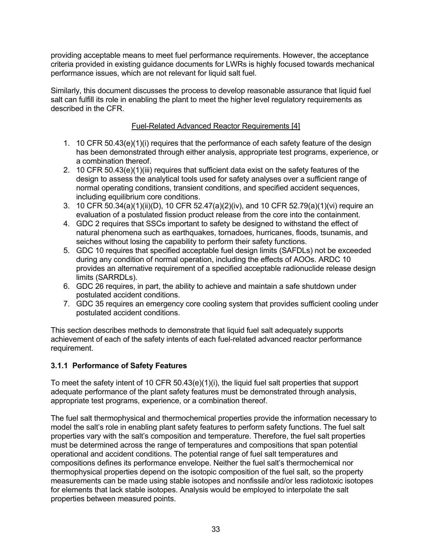providing acceptable means to meet fuel performance requirements. However, the acceptance criteria provided in existing guidance documents for LWRs is highly focused towards mechanical performance issues, which are not relevant for liquid salt fuel.

Similarly, this document discusses the process to develop reasonable assurance that liquid fuel salt can fulfill its role in enabling the plant to meet the higher level regulatory requirements as described in the CFR.

#### Fuel-Related Advanced Reactor Requirements [4]

- 1. 10 CFR 50.43(e)(1)(i) requires that the performance of each safety feature of the design has been demonstrated through either analysis, appropriate test programs, experience, or a combination thereof.
- 2. 10 CFR 50.43(e)(1)(iii) requires that sufficient data exist on the safety features of the design to assess the analytical tools used for safety analyses over a sufficient range of normal operating conditions, transient conditions, and specified accident sequences, including equilibrium core conditions.
- 3. 10 CFR 50.34(a)(1)(ii)(D), 10 CFR 52.47(a)(2)(iv), and 10 CFR 52.79(a)(1)(vi) require an evaluation of a postulated fission product release from the core into the containment.
- 4. GDC 2 requires that SSCs important to safety be designed to withstand the effect of natural phenomena such as earthquakes, tornadoes, hurricanes, floods, tsunamis, and seiches without losing the capability to perform their safety functions.
- 5. GDC 10 requires that specified acceptable fuel design limits (SAFDLs) not be exceeded during any condition of normal operation, including the effects of AOOs. ARDC 10 provides an alternative requirement of a specified acceptable radionuclide release design limits (SARRDLs).
- 6. GDC 26 requires, in part, the ability to achieve and maintain a safe shutdown under postulated accident conditions.
- 7. GDC 35 requires an emergency core cooling system that provides sufficient cooling under postulated accident conditions.

This section describes methods to demonstrate that liquid fuel salt adequately supports achievement of each of the safety intents of each fuel-related advanced reactor performance requirement.

#### **3.1.1 Performance of Safety Features**

To meet the safety intent of 10 CFR 50.43(e)(1)(i), the liquid fuel salt properties that support adequate performance of the plant safety features must be demonstrated through analysis, appropriate test programs, experience, or a combination thereof.

The fuel salt thermophysical and thermochemical properties provide the information necessary to model the salt's role in enabling plant safety features to perform safety functions. The fuel salt properties vary with the salt's composition and temperature. Therefore, the fuel salt properties must be determined across the range of temperatures and compositions that span potential operational and accident conditions. The potential range of fuel salt temperatures and compositions defines its performance envelope. Neither the fuel salt's thermochemical nor thermophysical properties depend on the isotopic composition of the fuel salt, so the property measurements can be made using stable isotopes and nonfissile and/or less radiotoxic isotopes for elements that lack stable isotopes. Analysis would be employed to interpolate the salt properties between measured points.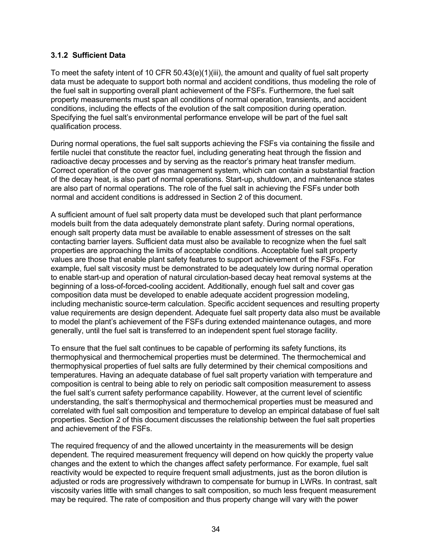#### **3.1.2 Sufficient Data**

To meet the safety intent of 10 CFR 50.43(e)(1)(iii), the amount and quality of fuel salt property data must be adequate to support both normal and accident conditions, thus modeling the role of the fuel salt in supporting overall plant achievement of the FSFs. Furthermore, the fuel salt property measurements must span all conditions of normal operation, transients, and accident conditions, including the effects of the evolution of the salt composition during operation. Specifying the fuel salt's environmental performance envelope will be part of the fuel salt qualification process.

During normal operations, the fuel salt supports achieving the FSFs via containing the fissile and fertile nuclei that constitute the reactor fuel, including generating heat through the fission and radioactive decay processes and by serving as the reactor's primary heat transfer medium. Correct operation of the cover gas management system, which can contain a substantial fraction of the decay heat, is also part of normal operations. Start-up, shutdown, and maintenance states are also part of normal operations. The role of the fuel salt in achieving the FSFs under both normal and accident conditions is addressed in Section 2 of this document.

A sufficient amount of fuel salt property data must be developed such that plant performance models built from the data adequately demonstrate plant safety. During normal operations, enough salt property data must be available to enable assessment of stresses on the salt contacting barrier layers. Sufficient data must also be available to recognize when the fuel salt properties are approaching the limits of acceptable conditions. Acceptable fuel salt property values are those that enable plant safety features to support achievement of the FSFs. For example, fuel salt viscosity must be demonstrated to be adequately low during normal operation to enable start-up and operation of natural circulation-based decay heat removal systems at the beginning of a loss-of-forced-cooling accident. Additionally, enough fuel salt and cover gas composition data must be developed to enable adequate accident progression modeling, including mechanistic source-term calculation. Specific accident sequences and resulting property value requirements are design dependent. Adequate fuel salt property data also must be available to model the plant's achievement of the FSFs during extended maintenance outages, and more generally, until the fuel salt is transferred to an independent spent fuel storage facility.

To ensure that the fuel salt continues to be capable of performing its safety functions, its thermophysical and thermochemical properties must be determined. The thermochemical and thermophysical properties of fuel salts are fully determined by their chemical compositions and temperatures. Having an adequate database of fuel salt property variation with temperature and composition is central to being able to rely on periodic salt composition measurement to assess the fuel salt's current safety performance capability. However, at the current level of scientific understanding, the salt's thermophysical and thermochemical properties must be measured and correlated with fuel salt composition and temperature to develop an empirical database of fuel salt properties. Section 2 of this document discusses the relationship between the fuel salt properties and achievement of the FSFs.

The required frequency of and the allowed uncertainty in the measurements will be design dependent. The required measurement frequency will depend on how quickly the property value changes and the extent to which the changes affect safety performance. For example, fuel salt reactivity would be expected to require frequent small adjustments, just as the boron dilution is adjusted or rods are progressively withdrawn to compensate for burnup in LWRs. In contrast, salt viscosity varies little with small changes to salt composition, so much less frequent measurement may be required. The rate of composition and thus property change will vary with the power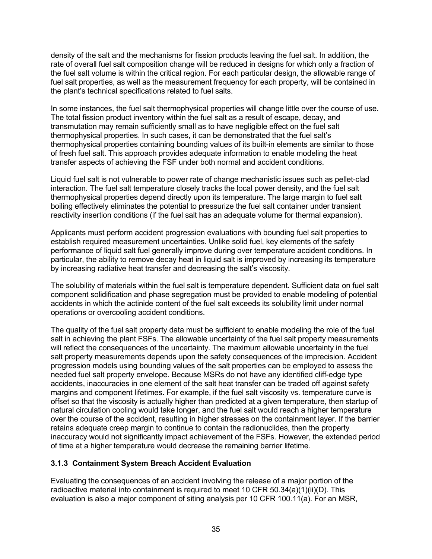density of the salt and the mechanisms for fission products leaving the fuel salt. In addition, the rate of overall fuel salt composition change will be reduced in designs for which only a fraction of the fuel salt volume is within the critical region. For each particular design, the allowable range of fuel salt properties, as well as the measurement frequency for each property, will be contained in the plant's technical specifications related to fuel salts.

In some instances, the fuel salt thermophysical properties will change little over the course of use. The total fission product inventory within the fuel salt as a result of escape, decay, and transmutation may remain sufficiently small as to have negligible effect on the fuel salt thermophysical properties. In such cases, it can be demonstrated that the fuel salt's thermophysical properties containing bounding values of its built-in elements are similar to those of fresh fuel salt. This approach provides adequate information to enable modeling the heat transfer aspects of achieving the FSF under both normal and accident conditions.

Liquid fuel salt is not vulnerable to power rate of change mechanistic issues such as pellet-clad interaction. The fuel salt temperature closely tracks the local power density, and the fuel salt thermophysical properties depend directly upon its temperature. The large margin to fuel salt boiling effectively eliminates the potential to pressurize the fuel salt container under transient reactivity insertion conditions (if the fuel salt has an adequate volume for thermal expansion).

Applicants must perform accident progression evaluations with bounding fuel salt properties to establish required measurement uncertainties. Unlike solid fuel, key elements of the safety performance of liquid salt fuel generally improve during over temperature accident conditions. In particular, the ability to remove decay heat in liquid salt is improved by increasing its temperature by increasing radiative heat transfer and decreasing the salt's viscosity.

The solubility of materials within the fuel salt is temperature dependent. Sufficient data on fuel salt component solidification and phase segregation must be provided to enable modeling of potential accidents in which the actinide content of the fuel salt exceeds its solubility limit under normal operations or overcooling accident conditions.

The quality of the fuel salt property data must be sufficient to enable modeling the role of the fuel salt in achieving the plant FSFs. The allowable uncertainty of the fuel salt property measurements will reflect the consequences of the uncertainty. The maximum allowable uncertainty in the fuel salt property measurements depends upon the safety consequences of the imprecision. Accident progression models using bounding values of the salt properties can be employed to assess the needed fuel salt property envelope. Because MSRs do not have any identified cliff-edge type accidents, inaccuracies in one element of the salt heat transfer can be traded off against safety margins and component lifetimes. For example, if the fuel salt viscosity vs. temperature curve is offset so that the viscosity is actually higher than predicted at a given temperature, then startup of natural circulation cooling would take longer, and the fuel salt would reach a higher temperature over the course of the accident, resulting in higher stresses on the containment layer. If the barrier retains adequate creep margin to continue to contain the radionuclides, then the property inaccuracy would not significantly impact achievement of the FSFs. However, the extended period of time at a higher temperature would decrease the remaining barrier lifetime.

#### **3.1.3 Containment System Breach Accident Evaluation**

Evaluating the consequences of an accident involving the release of a major portion of the radioactive material into containment is required to meet 10 CFR 50.34(a)(1)(ii)(D). This evaluation is also a major component of siting analysis per 10 CFR 100.11(a). For an MSR,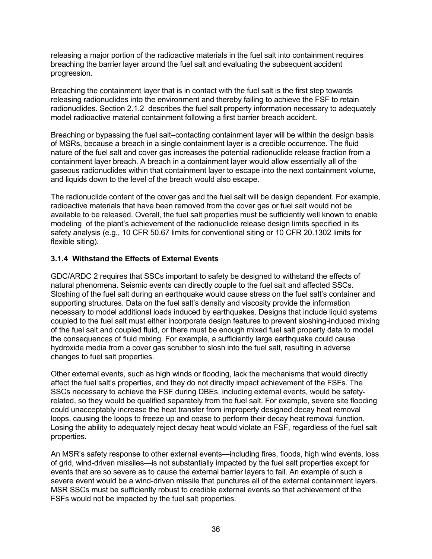releasing a major portion of the radioactive materials in the fuel salt into containment requires breaching the barrier layer around the fuel salt and evaluating the subsequent accident progression.

Breaching the containment layer that is in contact with the fuel salt is the first step towards releasing radionuclides into the environment and thereby failing to achieve the FSF to retain radionuclides. Section 2.1.2 describes the fuel salt property information necessary to adequately model radioactive material containment following a first barrier breach accident.

Breaching or bypassing the fuel salt–contacting containment layer will be within the design basis of MSRs, because a breach in a single containment layer is a credible occurrence. The fluid nature of the fuel salt and cover gas increases the potential radionuclide release fraction from a containment layer breach. A breach in a containment layer would allow essentially all of the gaseous radionuclides within that containment layer to escape into the next containment volume, and liquids down to the level of the breach would also escape.

The radionuclide content of the cover gas and the fuel salt will be design dependent. For example, radioactive materials that have been removed from the cover gas or fuel salt would not be available to be released. Overall, the fuel salt properties must be sufficiently well known to enable modeling of the plant's achievement of the radionuclide release design limits specified in its safety analysis (e.g., 10 CFR 50.67 limits for conventional siting or 10 CFR 20.1302 limits for flexible siting).

#### **3.1.4 Withstand the Effects of External Events**

GDC/ARDC 2 requires that SSCs important to safety be designed to withstand the effects of natural phenomena. Seismic events can directly couple to the fuel salt and affected SSCs. Sloshing of the fuel salt during an earthquake would cause stress on the fuel salt's container and supporting structures. Data on the fuel salt's density and viscosity provide the information necessary to model additional loads induced by earthquakes. Designs that include liquid systems coupled to the fuel salt must either incorporate design features to prevent sloshing-induced mixing of the fuel salt and coupled fluid, or there must be enough mixed fuel salt property data to model the consequences of fluid mixing. For example, a sufficiently large earthquake could cause hydroxide media from a cover gas scrubber to slosh into the fuel salt, resulting in adverse changes to fuel salt properties.

Other external events, such as high winds or flooding, lack the mechanisms that would directly affect the fuel salt's properties, and they do not directly impact achievement of the FSFs. The SSCs necessary to achieve the FSF during DBEs, including external events, would be safetyrelated, so they would be qualified separately from the fuel salt. For example, severe site flooding could unacceptably increase the heat transfer from improperly designed decay heat removal loops, causing the loops to freeze up and cease to perform their decay heat removal function. Losing the ability to adequately reject decay heat would violate an FSF, regardless of the fuel salt properties.

An MSR's safety response to other external events—including fires, floods, high wind events, loss of grid, wind-driven missiles—is not substantially impacted by the fuel salt properties except for events that are so severe as to cause the external barrier layers to fail. An example of such a severe event would be a wind-driven missile that punctures all of the external containment layers. MSR SSCs must be sufficiently robust to credible external events so that achievement of the FSFs would not be impacted by the fuel salt properties.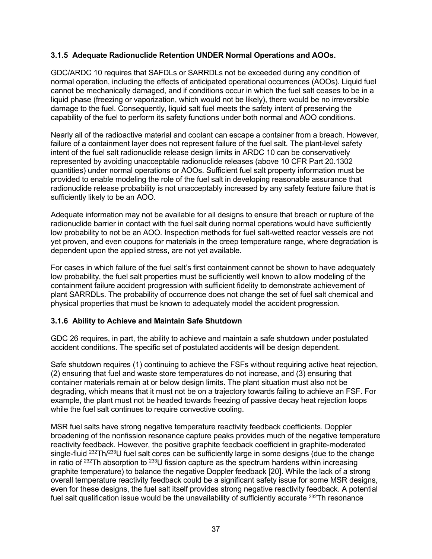#### **3.1.5 Adequate Radionuclide Retention UNDER Normal Operations and AOOs.**

GDC/ARDC 10 requires that SAFDLs or SARRDLs not be exceeded during any condition of normal operation, including the effects of anticipated operational occurrences (AOOs). Liquid fuel cannot be mechanically damaged, and if conditions occur in which the fuel salt ceases to be in a liquid phase (freezing or vaporization, which would not be likely), there would be no irreversible damage to the fuel. Consequently, liquid salt fuel meets the safety intent of preserving the capability of the fuel to perform its safety functions under both normal and AOO conditions.

Nearly all of the radioactive material and coolant can escape a container from a breach. However, failure of a containment layer does not represent failure of the fuel salt. The plant-level safety intent of the fuel salt radionuclide release design limits in ARDC 10 can be conservatively represented by avoiding unacceptable radionuclide releases (above 10 CFR Part 20.1302 quantities) under normal operations or AOOs. Sufficient fuel salt property information must be provided to enable modeling the role of the fuel salt in developing reasonable assurance that radionuclide release probability is not unacceptably increased by any safety feature failure that is sufficiently likely to be an AOO.

Adequate information may not be available for all designs to ensure that breach or rupture of the radionuclide barrier in contact with the fuel salt during normal operations would have sufficiently low probability to not be an AOO. Inspection methods for fuel salt-wetted reactor vessels are not yet proven, and even coupons for materials in the creep temperature range, where degradation is dependent upon the applied stress, are not yet available.

For cases in which failure of the fuel salt's first containment cannot be shown to have adequately low probability, the fuel salt properties must be sufficiently well known to allow modeling of the containment failure accident progression with sufficient fidelity to demonstrate achievement of plant SARRDLs. The probability of occurrence does not change the set of fuel salt chemical and physical properties that must be known to adequately model the accident progression.

#### **3.1.6 Ability to Achieve and Maintain Safe Shutdown**

GDC 26 requires, in part, the ability to achieve and maintain a safe shutdown under postulated accident conditions. The specific set of postulated accidents will be design dependent.

Safe shutdown requires (1) continuing to achieve the FSFs without requiring active heat rejection, (2) ensuring that fuel and waste store temperatures do not increase, and (3) ensuring that container materials remain at or below design limits. The plant situation must also not be degrading, which means that it must not be on a trajectory towards failing to achieve an FSF. For example, the plant must not be headed towards freezing of passive decay heat rejection loops while the fuel salt continues to require convective cooling.

MSR fuel salts have strong negative temperature reactivity feedback coefficients. Doppler broadening of the nonfission resonance capture peaks provides much of the negative temperature reactivity feedback. However, the positive graphite feedback coefficient in graphite-moderated single-fluid <sup>232</sup>Th/<sup>233</sup>U fuel salt cores can be sufficiently large in some designs (due to the change in ratio of  $^{232}$ Th absorption to  $^{233}$ U fission capture as the spectrum hardens within increasing graphite temperature) to balance the negative Doppler feedback [20]. While the lack of a strong overall temperature reactivity feedback could be a significant safety issue for some MSR designs, even for these designs, the fuel salt itself provides strong negative reactivity feedback. A potential fuel salt qualification issue would be the unavailability of sufficiently accurate <sup>232</sup>Th resonance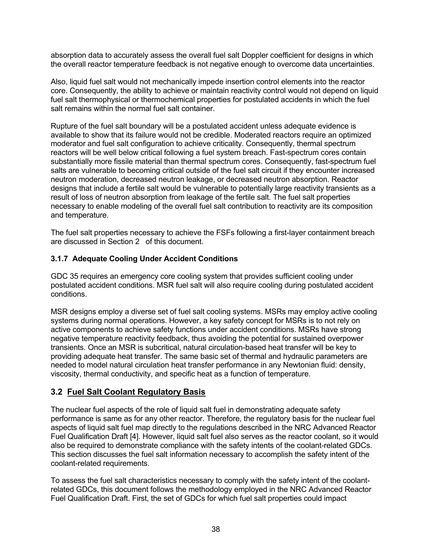absorption data to accurately assess the overall fuel salt Doppler coefficient for designs in which the overall reactor temperature feedback is not negative enough to overcome data uncertainties.

Also, liquid fuel salt would not mechanically impede insertion control elements into the reactor core. Consequently, the ability to achieve or maintain reactivity control would not depend on liquid fuel salt thermophysical or thermochemical properties for postulated accidents in which the fuel salt remains within the normal fuel salt container.

Rupture of the fuel salt boundary will be a postulated accident unless adequate evidence is available to show that its failure would not be credible. Moderated reactors require an optimized moderator and fuel salt configuration to achieve criticality. Consequently, thermal spectrum reactors will be well below critical following a fuel system breach. Fast-spectrum cores contain substantially more fissile material than thermal spectrum cores. Consequently, fast-spectrum fuel salts are vulnerable to becoming critical outside of the fuel salt circuit if they encounter increased neutron moderation, decreased neutron leakage, or decreased neutron absorption. Reactor designs that include a fertile salt would be vulnerable to potentially large reactivity transients as a result of loss of neutron absorption from leakage of the fertile salt. The fuel salt properties necessary to enable modeling of the overall fuel salt contribution to reactivity are its composition and temperature.

The fuel salt properties necessary to achieve the FSFs following a first-layer containment breach are discussed in Section 2 of this document.

#### **3.1.7 Adequate Cooling Under Accident Conditions**

GDC 35 requires an emergency core cooling system that provides sufficient cooling under postulated accident conditions. MSR fuel salt will also require cooling during postulated accident conditions.

MSR designs employ a diverse set of fuel salt cooling systems. MSRs may employ active cooling systems during normal operations. However, a key safety concept for MSRs is to not rely on active components to achieve safety functions under accident conditions. MSRs have strong negative temperature reactivity feedback, thus avoiding the potential for sustained overpower transients. Once an MSR is subcritical, natural circulation-based heat transfer will be key to providing adequate heat transfer. The same basic set of thermal and hydraulic parameters are needed to model natural circulation heat transfer performance in any Newtonian fluid: density, viscosity, thermal conductivity, and specific heat as a function of temperature.

#### **3.2 Fuel Salt Coolant Regulatory Basis**

The nuclear fuel aspects of the role of liquid salt fuel in demonstrating adequate safety performance is same as for any other reactor. Therefore, the regulatory basis for the nuclear fuel aspects of liquid salt fuel map directly to the regulations described in the NRC Advanced Reactor Fuel Qualification Draft [4]. However, liquid salt fuel also serves as the reactor coolant, so it would also be required to demonstrate compliance with the safety intents of the coolant-related GDCs. This section discusses the fuel salt information necessary to accomplish the safety intent of the coolant-related requirements.

To assess the fuel salt characteristics necessary to comply with the safety intent of the coolantrelated GDCs, this document follows the methodology employed in the NRC Advanced Reactor Fuel Qualification Draft. First, the set of GDCs for which fuel salt properties could impact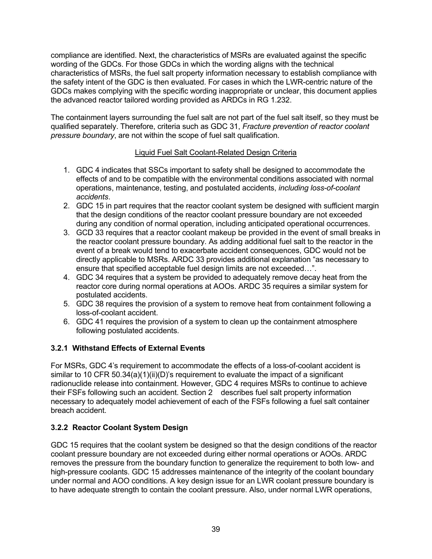compliance are identified. Next, the characteristics of MSRs are evaluated against the specific wording of the GDCs. For those GDCs in which the wording aligns with the technical characteristics of MSRs, the fuel salt property information necessary to establish compliance with the safety intent of the GDC is then evaluated. For cases in which the LWR-centric nature of the GDCs makes complying with the specific wording inappropriate or unclear, this document applies the advanced reactor tailored wording provided as ARDCs in RG 1.232.

The containment layers surrounding the fuel salt are not part of the fuel salt itself, so they must be qualified separately. Therefore, criteria such as GDC 31, *Fracture prevention of reactor coolant pressure boundary*, are not within the scope of fuel salt qualification.

#### Liquid Fuel Salt Coolant-Related Design Criteria

- 1. GDC 4 indicates that SSCs important to safety shall be designed to accommodate the effects of and to be compatible with the environmental conditions associated with normal operations, maintenance, testing, and postulated accidents, *including loss-of-coolant accidents*.
- 2. GDC 15 in part requires that the reactor coolant system be designed with sufficient margin that the design conditions of the reactor coolant pressure boundary are not exceeded during any condition of normal operation, including anticipated operational occurrences.
- 3. GCD 33 requires that a reactor coolant makeup be provided in the event of small breaks in the reactor coolant pressure boundary. As adding additional fuel salt to the reactor in the event of a break would tend to exacerbate accident consequences, GDC would not be directly applicable to MSRs. ARDC 33 provides additional explanation "as necessary to ensure that specified acceptable fuel design limits are not exceeded…".
- 4. GDC 34 requires that a system be provided to adequately remove decay heat from the reactor core during normal operations at AOOs. ARDC 35 requires a similar system for postulated accidents.
- 5. GDC 38 requires the provision of a system to remove heat from containment following a loss-of-coolant accident.
- 6. GDC 41 requires the provision of a system to clean up the containment atmosphere following postulated accidents.

#### **3.2.1 Withstand Effects of External Events**

For MSRs, GDC 4's requirement to accommodate the effects of a loss-of-coolant accident is similar to 10 CFR 50.34(a)(1)(ii)(D)'s requirement to evaluate the impact of a significant radionuclide release into containment. However, GDC 4 requires MSRs to continue to achieve their FSFs following such an accident. Section 2 describes fuel salt property information necessary to adequately model achievement of each of the FSFs following a fuel salt container breach accident.

#### **3.2.2 Reactor Coolant System Design**

GDC 15 requires that the coolant system be designed so that the design conditions of the reactor coolant pressure boundary are not exceeded during either normal operations or AOOs. ARDC removes the pressure from the boundary function to generalize the requirement to both low- and high-pressure coolants. GDC 15 addresses maintenance of the integrity of the coolant boundary under normal and AOO conditions. A key design issue for an LWR coolant pressure boundary is to have adequate strength to contain the coolant pressure. Also, under normal LWR operations,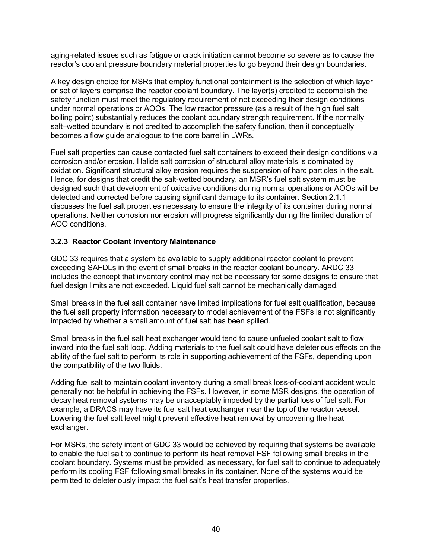aging-related issues such as fatigue or crack initiation cannot become so severe as to cause the reactor's coolant pressure boundary material properties to go beyond their design boundaries.

A key design choice for MSRs that employ functional containment is the selection of which layer or set of layers comprise the reactor coolant boundary. The layer(s) credited to accomplish the safety function must meet the regulatory requirement of not exceeding their design conditions under normal operations or AOOs. The low reactor pressure (as a result of the high fuel salt boiling point) substantially reduces the coolant boundary strength requirement. If the normally salt–wetted boundary is not credited to accomplish the safety function, then it conceptually becomes a flow guide analogous to the core barrel in LWRs.

Fuel salt properties can cause contacted fuel salt containers to exceed their design conditions via corrosion and/or erosion. Halide salt corrosion of structural alloy materials is dominated by oxidation. Significant structural alloy erosion requires the suspension of hard particles in the salt. Hence, for designs that credit the salt-wetted boundary, an MSR's fuel salt system must be designed such that development of oxidative conditions during normal operations or AOOs will be detected and corrected before causing significant damage to its container. Section 2.1.1 discusses the fuel salt properties necessary to ensure the integrity of its container during normal operations. Neither corrosion nor erosion will progress significantly during the limited duration of AOO conditions.

#### **3.2.3 Reactor Coolant Inventory Maintenance**

GDC 33 requires that a system be available to supply additional reactor coolant to prevent exceeding SAFDLs in the event of small breaks in the reactor coolant boundary. ARDC 33 includes the concept that inventory control may not be necessary for some designs to ensure that fuel design limits are not exceeded. Liquid fuel salt cannot be mechanically damaged.

Small breaks in the fuel salt container have limited implications for fuel salt qualification, because the fuel salt property information necessary to model achievement of the FSFs is not significantly impacted by whether a small amount of fuel salt has been spilled.

Small breaks in the fuel salt heat exchanger would tend to cause unfueled coolant salt to flow inward into the fuel salt loop. Adding materials to the fuel salt could have deleterious effects on the ability of the fuel salt to perform its role in supporting achievement of the FSFs, depending upon the compatibility of the two fluids.

Adding fuel salt to maintain coolant inventory during a small break loss-of-coolant accident would generally not be helpful in achieving the FSFs. However, in some MSR designs, the operation of decay heat removal systems may be unacceptably impeded by the partial loss of fuel salt. For example, a DRACS may have its fuel salt heat exchanger near the top of the reactor vessel. Lowering the fuel salt level might prevent effective heat removal by uncovering the heat exchanger.

For MSRs, the safety intent of GDC 33 would be achieved by requiring that systems be available to enable the fuel salt to continue to perform its heat removal FSF following small breaks in the coolant boundary. Systems must be provided, as necessary, for fuel salt to continue to adequately perform its cooling FSF following small breaks in its container. None of the systems would be permitted to deleteriously impact the fuel salt's heat transfer properties.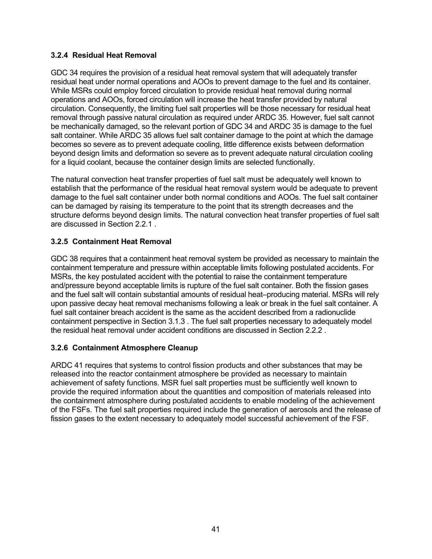#### **3.2.4 Residual Heat Removal**

GDC 34 requires the provision of a residual heat removal system that will adequately transfer residual heat under normal operations and AOOs to prevent damage to the fuel and its container. While MSRs could employ forced circulation to provide residual heat removal during normal operations and AOOs, forced circulation will increase the heat transfer provided by natural circulation. Consequently, the limiting fuel salt properties will be those necessary for residual heat removal through passive natural circulation as required under ARDC 35. However, fuel salt cannot be mechanically damaged, so the relevant portion of GDC 34 and ARDC 35 is damage to the fuel salt container. While ARDC 35 allows fuel salt container damage to the point at which the damage becomes so severe as to prevent adequate cooling, little difference exists between deformation beyond design limits and deformation so severe as to prevent adequate natural circulation cooling for a liquid coolant, because the container design limits are selected functionally.

The natural convection heat transfer properties of fuel salt must be adequately well known to establish that the performance of the residual heat removal system would be adequate to prevent damage to the fuel salt container under both normal conditions and AOOs. The fuel salt container can be damaged by raising its temperature to the point that its strength decreases and the structure deforms beyond design limits. The natural convection heat transfer properties of fuel salt are discussed in Section 2.2.1

#### **3.2.5 Containment Heat Removal**

GDC 38 requires that a containment heat removal system be provided as necessary to maintain the containment temperature and pressure within acceptable limits following postulated accidents. For MSRs, the key postulated accident with the potential to raise the containment temperature and/pressure beyond acceptable limits is rupture of the fuel salt container. Both the fission gases and the fuel salt will contain substantial amounts of residual heat–producing material. MSRs will rely upon passive decay heat removal mechanisms following a leak or break in the fuel salt container. A fuel salt container breach accident is the same as the accident described from a radionuclide containment perspective in Section 3.1.3 . The fuel salt properties necessary to adequately model the residual heat removal under accident conditions are discussed in Section 2.2.2 .

#### **3.2.6 Containment Atmosphere Cleanup**

ARDC 41 requires that systems to control fission products and other substances that may be released into the reactor containment atmosphere be provided as necessary to maintain achievement of safety functions. MSR fuel salt properties must be sufficiently well known to provide the required information about the quantities and composition of materials released into the containment atmosphere during postulated accidents to enable modeling of the achievement of the FSFs. The fuel salt properties required include the generation of aerosols and the release of fission gases to the extent necessary to adequately model successful achievement of the FSF.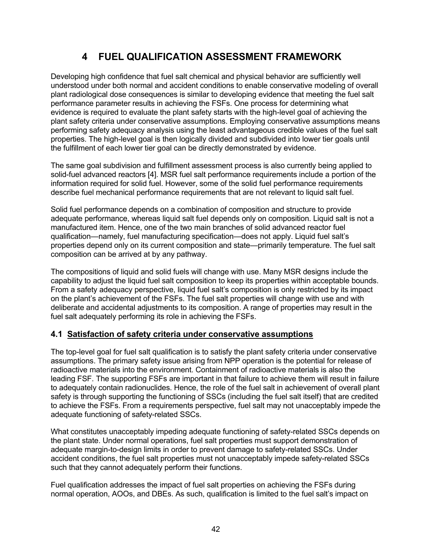# **4 FUEL QUALIFICATION ASSESSMENT FRAMEWORK**

Developing high confidence that fuel salt chemical and physical behavior are sufficiently well understood under both normal and accident conditions to enable conservative modeling of overall plant radiological dose consequences is similar to developing evidence that meeting the fuel salt performance parameter results in achieving the FSFs. One process for determining what evidence is required to evaluate the plant safety starts with the high-level goal of achieving the plant safety criteria under conservative assumptions. Employing conservative assumptions means performing safety adequacy analysis using the least advantageous credible values of the fuel salt properties. The high-level goal is then logically divided and subdivided into lower tier goals until the fulfillment of each lower tier goal can be directly demonstrated by evidence.

The same goal subdivision and fulfillment assessment process is also currently being applied to solid-fuel advanced reactors [4]. MSR fuel salt performance requirements include a portion of the information required for solid fuel. However, some of the solid fuel performance requirements describe fuel mechanical performance requirements that are not relevant to liquid salt fuel.

Solid fuel performance depends on a combination of composition and structure to provide adequate performance, whereas liquid salt fuel depends only on composition. Liquid salt is not a manufactured item. Hence, one of the two main branches of solid advanced reactor fuel qualification—namely, fuel manufacturing specification—does not apply. Liquid fuel salt's properties depend only on its current composition and state—primarily temperature. The fuel salt composition can be arrived at by any pathway.

The compositions of liquid and solid fuels will change with use. Many MSR designs include the capability to adjust the liquid fuel salt composition to keep its properties within acceptable bounds. From a safety adequacy perspective, liquid fuel salt's composition is only restricted by its impact on the plant's achievement of the FSFs. The fuel salt properties will change with use and with deliberate and accidental adjustments to its composition. A range of properties may result in the fuel salt adequately performing its role in achieving the FSFs.

# **4.1 Satisfaction of safety criteria under conservative assumptions**

The top-level goal for fuel salt qualification is to satisfy the plant safety criteria under conservative assumptions. The primary safety issue arising from NPP operation is the potential for release of radioactive materials into the environment. Containment of radioactive materials is also the leading FSF. The supporting FSFs are important in that failure to achieve them will result in failure to adequately contain radionuclides. Hence, the role of the fuel salt in achievement of overall plant safety is through supporting the functioning of SSCs (including the fuel salt itself) that are credited to achieve the FSFs. From a requirements perspective, fuel salt may not unacceptably impede the adequate functioning of safety-related SSCs.

What constitutes unacceptably impeding adequate functioning of safety-related SSCs depends on the plant state. Under normal operations, fuel salt properties must support demonstration of adequate margin-to-design limits in order to prevent damage to safety-related SSCs. Under accident conditions, the fuel salt properties must not unacceptably impede safety-related SSCs such that they cannot adequately perform their functions.

Fuel qualification addresses the impact of fuel salt properties on achieving the FSFs during normal operation, AOOs, and DBEs. As such, qualification is limited to the fuel salt's impact on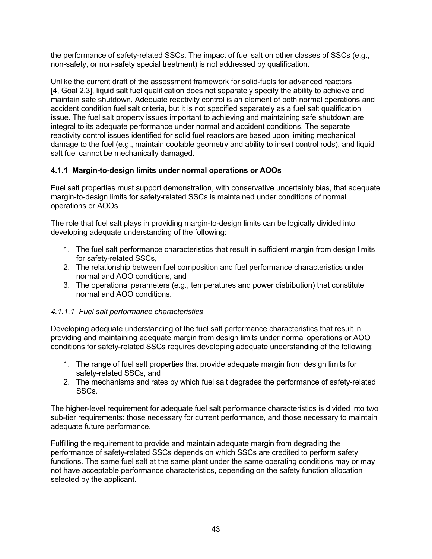the performance of safety-related SSCs. The impact of fuel salt on other classes of SSCs (e.g., non-safety, or non-safety special treatment) is not addressed by qualification.

Unlike the current draft of the assessment framework for solid-fuels for advanced reactors [4, Goal 2.3], liquid salt fuel qualification does not separately specify the ability to achieve and maintain safe shutdown. Adequate reactivity control is an element of both normal operations and accident condition fuel salt criteria, but it is not specified separately as a fuel salt qualification issue. The fuel salt property issues important to achieving and maintaining safe shutdown are integral to its adequate performance under normal and accident conditions. The separate reactivity control issues identified for solid fuel reactors are based upon limiting mechanical damage to the fuel (e.g., maintain coolable geometry and ability to insert control rods), and liquid salt fuel cannot be mechanically damaged.

# **4.1.1 Margin-to-design limits under normal operations or AOOs**

Fuel salt properties must support demonstration, with conservative uncertainty bias, that adequate margin-to-design limits for safety-related SSCs is maintained under conditions of normal operations or AOOs

The role that fuel salt plays in providing margin-to-design limits can be logically divided into developing adequate understanding of the following:

- 1. The fuel salt performance characteristics that result in sufficient margin from design limits for safety-related SSCs,
- 2. The relationship between fuel composition and fuel performance characteristics under normal and AOO conditions, and
- 3. The operational parameters (e.g., temperatures and power distribution) that constitute normal and AOO conditions.

#### *4.1.1.1 Fuel salt performance characteristics*

Developing adequate understanding of the fuel salt performance characteristics that result in providing and maintaining adequate margin from design limits under normal operations or AOO conditions for safety-related SSCs requires developing adequate understanding of the following:

- 1. The range of fuel salt properties that provide adequate margin from design limits for safety-related SSCs, and
- 2. The mechanisms and rates by which fuel salt degrades the performance of safety-related SSCs.

The higher-level requirement for adequate fuel salt performance characteristics is divided into two sub-tier requirements: those necessary for current performance, and those necessary to maintain adequate future performance.

Fulfilling the requirement to provide and maintain adequate margin from degrading the performance of safety-related SSCs depends on which SSCs are credited to perform safety functions. The same fuel salt at the same plant under the same operating conditions may or may not have acceptable performance characteristics, depending on the safety function allocation selected by the applicant.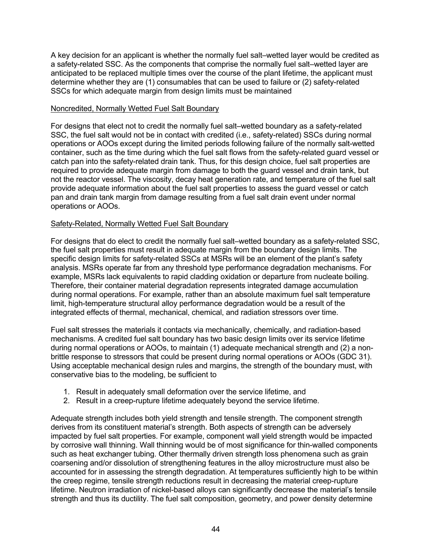A key decision for an applicant is whether the normally fuel salt–wetted layer would be credited as a safety-related SSC. As the components that comprise the normally fuel salt–wetted layer are anticipated to be replaced multiple times over the course of the plant lifetime, the applicant must determine whether they are (1) consumables that can be used to failure or (2) safety-related SSCs for which adequate margin from design limits must be maintained

#### Noncredited, Normally Wetted Fuel Salt Boundary

For designs that elect not to credit the normally fuel salt–wetted boundary as a safety-related SSC, the fuel salt would not be in contact with credited (i.e., safety-related) SSCs during normal operations or AOOs except during the limited periods following failure of the normally salt-wetted container, such as the time during which the fuel salt flows from the safety-related guard vessel or catch pan into the safety-related drain tank. Thus, for this design choice, fuel salt properties are required to provide adequate margin from damage to both the guard vessel and drain tank, but not the reactor vessel. The viscosity, decay heat generation rate, and temperature of the fuel salt provide adequate information about the fuel salt properties to assess the guard vessel or catch pan and drain tank margin from damage resulting from a fuel salt drain event under normal operations or AOOs.

#### Safety-Related, Normally Wetted Fuel Salt Boundary

For designs that do elect to credit the normally fuel salt–wetted boundary as a safety-related SSC, the fuel salt properties must result in adequate margin from the boundary design limits. The specific design limits for safety-related SSCs at MSRs will be an element of the plant's safety analysis. MSRs operate far from any threshold type performance degradation mechanisms. For example, MSRs lack equivalents to rapid cladding oxidation or departure from nucleate boiling. Therefore, their container material degradation represents integrated damage accumulation during normal operations. For example, rather than an absolute maximum fuel salt temperature limit, high-temperature structural alloy performance degradation would be a result of the integrated effects of thermal, mechanical, chemical, and radiation stressors over time.

Fuel salt stresses the materials it contacts via mechanically, chemically, and radiation-based mechanisms. A credited fuel salt boundary has two basic design limits over its service lifetime during normal operations or AOOs, to maintain (1) adequate mechanical strength and (2) a nonbrittle response to stressors that could be present during normal operations or AOOs (GDC 31). Using acceptable mechanical design rules and margins, the strength of the boundary must, with conservative bias to the modeling, be sufficient to

- 1. Result in adequately small deformation over the service lifetime, and
- 2. Result in a creep-rupture lifetime adequately beyond the service lifetime.

Adequate strength includes both yield strength and tensile strength. The component strength derives from its constituent material's strength. Both aspects of strength can be adversely impacted by fuel salt properties. For example, component wall yield strength would be impacted by corrosive wall thinning. Wall thinning would be of most significance for thin-walled components such as heat exchanger tubing. Other thermally driven strength loss phenomena such as grain coarsening and/or dissolution of strengthening features in the alloy microstructure must also be accounted for in assessing the strength degradation. At temperatures sufficiently high to be within the creep regime, tensile strength reductions result in decreasing the material creep-rupture lifetime. Neutron irradiation of nickel-based alloys can significantly decrease the material's tensile strength and thus its ductility. The fuel salt composition, geometry, and power density determine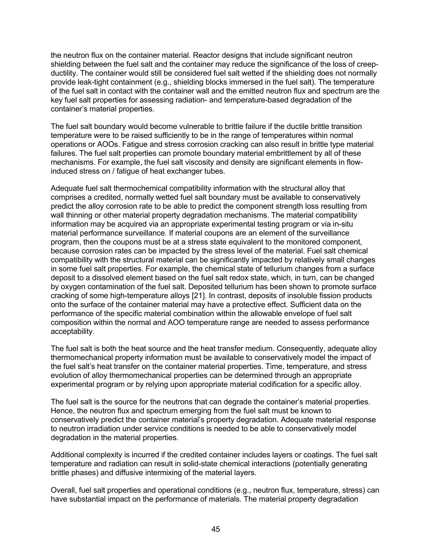the neutron flux on the container material. Reactor designs that include significant neutron shielding between the fuel salt and the container may reduce the significance of the loss of creepductility. The container would still be considered fuel salt wetted if the shielding does not normally provide leak-tight containment (e.g., shielding blocks immersed in the fuel salt). The temperature of the fuel salt in contact with the container wall and the emitted neutron flux and spectrum are the key fuel salt properties for assessing radiation- and temperature-based degradation of the container's material properties.

The fuel salt boundary would become vulnerable to brittle failure if the ductile brittle transition temperature were to be raised sufficiently to be in the range of temperatures within normal operations or AOOs. Fatigue and stress corrosion cracking can also result in brittle type material failures. The fuel salt properties can promote boundary material embrittlement by all of these mechanisms. For example, the fuel salt viscosity and density are significant elements in flowinduced stress on / fatigue of heat exchanger tubes.

Adequate fuel salt thermochemical compatibility information with the structural alloy that comprises a credited, normally wetted fuel salt boundary must be available to conservatively predict the alloy corrosion rate to be able to predict the component strength loss resulting from wall thinning or other material property degradation mechanisms. The material compatibility information may be acquired via an appropriate experimental testing program or via in-situ material performance surveillance. If material coupons are an element of the surveillance program, then the coupons must be at a stress state equivalent to the monitored component, because corrosion rates can be impacted by the stress level of the material. Fuel salt chemical compatibility with the structural material can be significantly impacted by relatively small changes in some fuel salt properties. For example, the chemical state of tellurium changes from a surface deposit to a dissolved element based on the fuel salt redox state, which, in turn, can be changed by oxygen contamination of the fuel salt. Deposited tellurium has been shown to promote surface cracking of some high-temperature alloys [21]. In contrast, deposits of insoluble fission products onto the surface of the container material may have a protective effect. Sufficient data on the performance of the specific material combination within the allowable envelope of fuel salt composition within the normal and AOO temperature range are needed to assess performance acceptability.

The fuel salt is both the heat source and the heat transfer medium. Consequently, adequate alloy thermomechanical property information must be available to conservatively model the impact of the fuel salt's heat transfer on the container material properties. Time, temperature, and stress evolution of alloy thermomechanical properties can be determined through an appropriate experimental program or by relying upon appropriate material codification for a specific alloy.

The fuel salt is the source for the neutrons that can degrade the container's material properties. Hence, the neutron flux and spectrum emerging from the fuel salt must be known to conservatively predict the container material's property degradation. Adequate material response to neutron irradiation under service conditions is needed to be able to conservatively model degradation in the material properties.

Additional complexity is incurred if the credited container includes layers or coatings. The fuel salt temperature and radiation can result in solid-state chemical interactions (potentially generating brittle phases) and diffusive intermixing of the material layers.

Overall, fuel salt properties and operational conditions (e.g., neutron flux, temperature, stress) can have substantial impact on the performance of materials. The material property degradation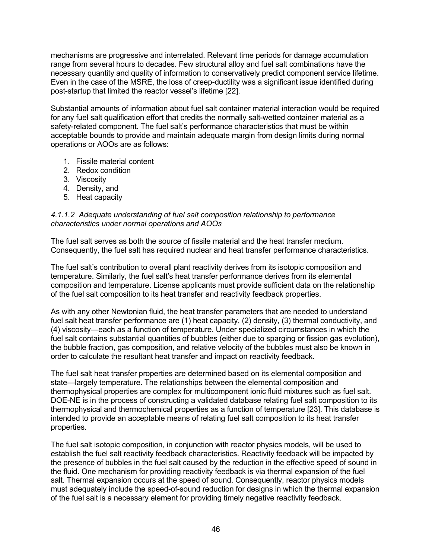mechanisms are progressive and interrelated. Relevant time periods for damage accumulation range from several hours to decades. Few structural alloy and fuel salt combinations have the necessary quantity and quality of information to conservatively predict component service lifetime. Even in the case of the MSRE, the loss of creep-ductility was a significant issue identified during post-startup that limited the reactor vessel's lifetime [22].

Substantial amounts of information about fuel salt container material interaction would be required for any fuel salt qualification effort that credits the normally salt-wetted container material as a safety-related component. The fuel salt's performance characteristics that must be within acceptable bounds to provide and maintain adequate margin from design limits during normal operations or AOOs are as follows:

- 1. Fissile material content
- 2. Redox condition
- 3. Viscosity
- 4. Density, and
- 5. Heat capacity

#### *4.1.1.2 Adequate understanding of fuel salt composition relationship to performance characteristics under normal operations and AOOs*

The fuel salt serves as both the source of fissile material and the heat transfer medium. Consequently, the fuel salt has required nuclear and heat transfer performance characteristics.

The fuel salt's contribution to overall plant reactivity derives from its isotopic composition and temperature. Similarly, the fuel salt's heat transfer performance derives from its elemental composition and temperature. License applicants must provide sufficient data on the relationship of the fuel salt composition to its heat transfer and reactivity feedback properties.

As with any other Newtonian fluid, the heat transfer parameters that are needed to understand fuel salt heat transfer performance are (1) heat capacity, (2) density, (3) thermal conductivity, and (4) viscosity—each as a function of temperature. Under specialized circumstances in which the fuel salt contains substantial quantities of bubbles (either due to sparging or fission gas evolution), the bubble fraction, gas composition, and relative velocity of the bubbles must also be known in order to calculate the resultant heat transfer and impact on reactivity feedback.

The fuel salt heat transfer properties are determined based on its elemental composition and state—largely temperature. The relationships between the elemental composition and thermophysical properties are complex for multicomponent ionic fluid mixtures such as fuel salt. DOE-NE is in the process of constructing a validated database relating fuel salt composition to its thermophysical and thermochemical properties as a function of temperature [23]. This database is intended to provide an acceptable means of relating fuel salt composition to its heat transfer properties.

The fuel salt isotopic composition, in conjunction with reactor physics models, will be used to establish the fuel salt reactivity feedback characteristics. Reactivity feedback will be impacted by the presence of bubbles in the fuel salt caused by the reduction in the effective speed of sound in the fluid. One mechanism for providing reactivity feedback is via thermal expansion of the fuel salt. Thermal expansion occurs at the speed of sound. Consequently, reactor physics models must adequately include the speed-of-sound reduction for designs in which the thermal expansion of the fuel salt is a necessary element for providing timely negative reactivity feedback.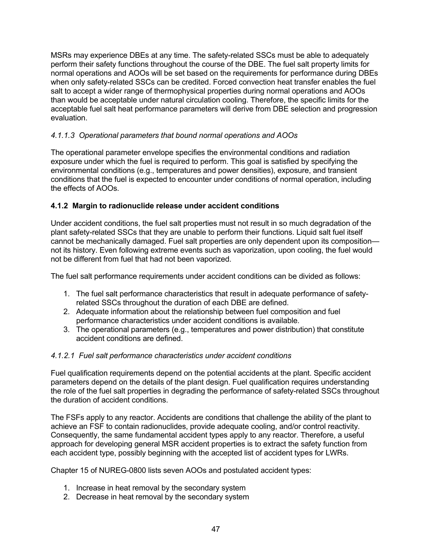MSRs may experience DBEs at any time. The safety-related SSCs must be able to adequately perform their safety functions throughout the course of the DBE. The fuel salt property limits for normal operations and AOOs will be set based on the requirements for performance during DBEs when only safety-related SSCs can be credited. Forced convection heat transfer enables the fuel salt to accept a wider range of thermophysical properties during normal operations and AOOs than would be acceptable under natural circulation cooling. Therefore, the specific limits for the acceptable fuel salt heat performance parameters will derive from DBE selection and progression evaluation.

#### *4.1.1.3 Operational parameters that bound normal operations and AOOs*

The operational parameter envelope specifies the environmental conditions and radiation exposure under which the fuel is required to perform. This goal is satisfied by specifying the environmental conditions (e.g., temperatures and power densities), exposure, and transient conditions that the fuel is expected to encounter under conditions of normal operation, including the effects of AOOs.

#### **4.1.2 Margin to radionuclide release under accident conditions**

Under accident conditions, the fuel salt properties must not result in so much degradation of the plant safety-related SSCs that they are unable to perform their functions. Liquid salt fuel itself cannot be mechanically damaged. Fuel salt properties are only dependent upon its composition not its history. Even following extreme events such as vaporization, upon cooling, the fuel would not be different from fuel that had not been vaporized.

The fuel salt performance requirements under accident conditions can be divided as follows:

- 1. The fuel salt performance characteristics that result in adequate performance of safetyrelated SSCs throughout the duration of each DBE are defined.
- 2. Adequate information about the relationship between fuel composition and fuel performance characteristics under accident conditions is available.
- 3. The operational parameters (e.g., temperatures and power distribution) that constitute accident conditions are defined.

#### *4.1.2.1 Fuel salt performance characteristics under accident conditions*

Fuel qualification requirements depend on the potential accidents at the plant. Specific accident parameters depend on the details of the plant design. Fuel qualification requires understanding the role of the fuel salt properties in degrading the performance of safety-related SSCs throughout the duration of accident conditions.

The FSFs apply to any reactor. Accidents are conditions that challenge the ability of the plant to achieve an FSF to contain radionuclides, provide adequate cooling, and/or control reactivity. Consequently, the same fundamental accident types apply to any reactor. Therefore, a useful approach for developing general MSR accident properties is to extract the safety function from each accident type, possibly beginning with the accepted list of accident types for LWRs.

Chapter 15 of NUREG-0800 lists seven AOOs and postulated accident types:

- 1. Increase in heat removal by the secondary system
- 2. Decrease in heat removal by the secondary system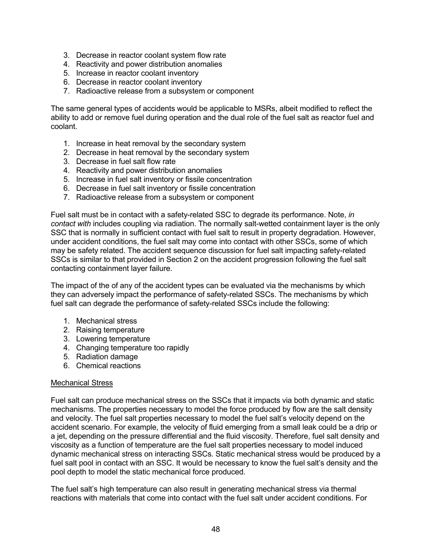- 3. Decrease in reactor coolant system flow rate
- 4. Reactivity and power distribution anomalies
- 5. Increase in reactor coolant inventory
- 6. Decrease in reactor coolant inventory
- 7. Radioactive release from a subsystem or component

The same general types of accidents would be applicable to MSRs, albeit modified to reflect the ability to add or remove fuel during operation and the dual role of the fuel salt as reactor fuel and coolant.

- 1. Increase in heat removal by the secondary system
- 2. Decrease in heat removal by the secondary system
- 3. Decrease in fuel salt flow rate
- 4. Reactivity and power distribution anomalies
- 5. Increase in fuel salt inventory or fissile concentration
- 6. Decrease in fuel salt inventory or fissile concentration
- 7. Radioactive release from a subsystem or component

Fuel salt must be in contact with a safety-related SSC to degrade its performance. Note, *in contact with* includes coupling via radiation. The normally salt-wetted containment layer is the only SSC that is normally in sufficient contact with fuel salt to result in property degradation. However, under accident conditions, the fuel salt may come into contact with other SSCs, some of which may be safety related. The accident sequence discussion for fuel salt impacting safety-related SSCs is similar to that provided in Section 2 on the accident progression following the fuel salt contacting containment layer failure.

The impact of the of any of the accident types can be evaluated via the mechanisms by which they can adversely impact the performance of safety-related SSCs. The mechanisms by which fuel salt can degrade the performance of safety-related SSCs include the following:

- 1. Mechanical stress
- 2. Raising temperature
- 3. Lowering temperature
- 4. Changing temperature too rapidly
- 5. Radiation damage
- 6. Chemical reactions

#### Mechanical Stress

Fuel salt can produce mechanical stress on the SSCs that it impacts via both dynamic and static mechanisms. The properties necessary to model the force produced by flow are the salt density and velocity. The fuel salt properties necessary to model the fuel salt's velocity depend on the accident scenario. For example, the velocity of fluid emerging from a small leak could be a drip or a jet, depending on the pressure differential and the fluid viscosity. Therefore, fuel salt density and viscosity as a function of temperature are the fuel salt properties necessary to model induced dynamic mechanical stress on interacting SSCs. Static mechanical stress would be produced by a fuel salt pool in contact with an SSC. It would be necessary to know the fuel salt's density and the pool depth to model the static mechanical force produced.

The fuel salt's high temperature can also result in generating mechanical stress via thermal reactions with materials that come into contact with the fuel salt under accident conditions. For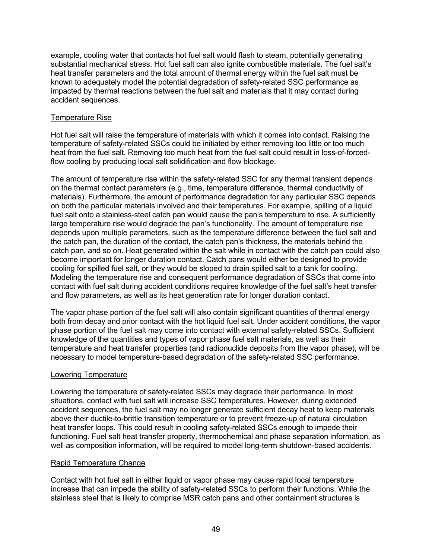example, cooling water that contacts hot fuel salt would flash to steam, potentially generating substantial mechanical stress. Hot fuel salt can also ignite combustible materials. The fuel salt's heat transfer parameters and the total amount of thermal energy within the fuel salt must be known to adequately model the potential degradation of safety-related SSC performance as impacted by thermal reactions between the fuel salt and materials that it may contact during accident sequences.

#### Temperature Rise

Hot fuel salt will raise the temperature of materials with which it comes into contact. Raising the temperature of safety-related SSCs could be initiated by either removing too little or too much heat from the fuel salt. Removing too much heat from the fuel salt could result in loss-of-forcedflow cooling by producing local salt solidification and flow blockage.

The amount of temperature rise within the safety-related SSC for any thermal transient depends on the thermal contact parameters (e.g., time, temperature difference, thermal conductivity of materials). Furthermore, the amount of performance degradation for any particular SSC depends on both the particular materials involved and their temperatures. For example, spilling of a liquid fuel salt onto a stainless-steel catch pan would cause the pan's temperature to rise. A sufficiently large temperature rise would degrade the pan's functionality. The amount of temperature rise depends upon multiple parameters, such as the temperature difference between the fuel salt and the catch pan, the duration of the contact, the catch pan's thickness, the materials behind the catch pan, and so on. Heat generated within the salt while in contact with the catch pan could also become important for longer duration contact. Catch pans would either be designed to provide cooling for spilled fuel salt, or they would be sloped to drain spilled salt to a tank for cooling. Modeling the temperature rise and consequent performance degradation of SSCs that come into contact with fuel salt during accident conditions requires knowledge of the fuel salt's heat transfer and flow parameters, as well as its heat generation rate for longer duration contact.

The vapor phase portion of the fuel salt will also contain significant quantities of thermal energy both from decay and prior contact with the hot liquid fuel salt. Under accident conditions, the vapor phase portion of the fuel salt may come into contact with external safety-related SSCs. Sufficient knowledge of the quantities and types of vapor phase fuel salt materials, as well as their temperature and heat transfer properties (and radionuclide deposits from the vapor phase), will be necessary to model temperature-based degradation of the safety-related SSC performance.

#### Lowering Temperature

Lowering the temperature of safety-related SSCs may degrade their performance. In most situations, contact with fuel salt will increase SSC temperatures. However, during extended accident sequences, the fuel salt may no longer generate sufficient decay heat to keep materials above their ductile-to-brittle transition temperature or to prevent freeze-up of natural circulation heat transfer loops. This could result in cooling safety-related SSCs enough to impede their functioning. Fuel salt heat transfer property, thermochemical and phase separation information, as well as composition information, will be required to model long-term shutdown-based accidents.

#### Rapid Temperature Change

Contact with hot fuel salt in either liquid or vapor phase may cause rapid local temperature increase that can impede the ability of safety-related SSCs to perform their functions. While the stainless steel that is likely to comprise MSR catch pans and other containment structures is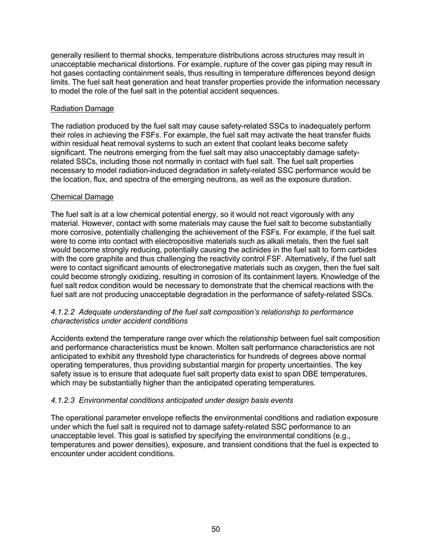generally resilient to thermal shocks, temperature distributions across structures may result in unacceptable mechanical distortions. For example, rupture of the cover gas piping may result in hot gases contacting containment seals, thus resulting in temperature differences beyond design limits. The fuel salt heat generation and heat transfer properties provide the information necessary to model the role of the fuel salt in the potential accident sequences.

#### Radiation Damage

The radiation produced by the fuel salt may cause safety-related SSCs to inadequately perform their roles in achieving the FSFs. For example, the fuel salt may activate the heat transfer fluids within residual heat removal systems to such an extent that coolant leaks become safety significant. The neutrons emerging from the fuel salt may also unacceptably damage safetyrelated SSCs, including those not normally in contact with fuel salt. The fuel salt properties necessary to model radiation-induced degradation in safety-related SSC performance would be the location, flux, and spectra of the emerging neutrons, as well as the exposure duration.

#### Chemical Damage

The fuel salt is at a low chemical potential energy, so it would not react vigorously with any material. However, contact with some materials may cause the fuel salt to become substantially more corrosive, potentially challenging the achievement of the FSFs. For example, if the fuel salt were to come into contact with electropositive materials such as alkali metals, then the fuel salt would become strongly reducing, potentially causing the actinides in the fuel salt to form carbides with the core graphite and thus challenging the reactivity control FSF. Alternatively, if the fuel salt were to contact significant amounts of electronegative materials such as oxygen, then the fuel salt could become strongly oxidizing, resulting in corrosion of its containment layers. Knowledge of the fuel salt redox condition would be necessary to demonstrate that the chemical reactions with the fuel salt are not producing unacceptable degradation in the performance of safety-related SSCs.

#### *4.1.2.2 Adequate understanding of the fuel salt composition's relationship to performance characteristics under accident conditions*

Accidents extend the temperature range over which the relationship between fuel salt composition and performance characteristics must be known. Molten salt performance characteristics are not anticipated to exhibit any threshold type characteristics for hundreds of degrees above normal operating temperatures, thus providing substantial margin for property uncertainties. The key safety issue is to ensure that adequate fuel salt property data exist to span DBE temperatures, which may be substantially higher than the anticipated operating temperatures.

#### *4.1.2.3 Environmental conditions anticipated under design basis events*

The operational parameter envelope reflects the environmental conditions and radiation exposure under which the fuel salt is required not to damage safety-related SSC performance to an unacceptable level. This goal is satisfied by specifying the environmental conditions (e.g., temperatures and power densities), exposure, and transient conditions that the fuel is expected to encounter under accident conditions.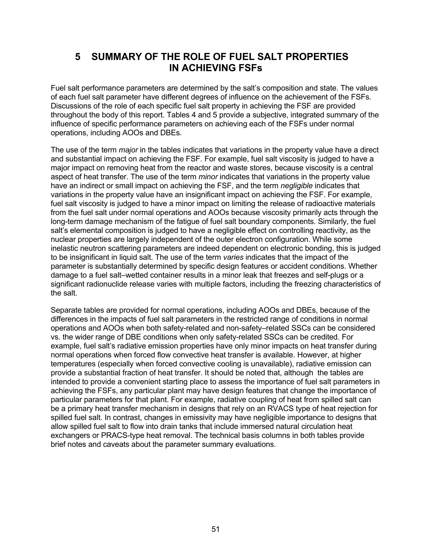# **5 SUMMARY OF THE ROLE OF FUEL SALT PROPERTIES IN ACHIEVING FSFs**

Fuel salt performance parameters are determined by the salt's composition and state. The values of each fuel salt parameter have different degrees of influence on the achievement of the FSFs. Discussions of the role of each specific fuel salt property in achieving the FSF are provided throughout the body of this report. Tables 4 and 5 provide a subjective, integrated summary of the influence of specific performance parameters on achieving each of the FSFs under normal operations, including AOOs and DBEs.

The use of the term *major* in the tables indicates that variations in the property value have a direct and substantial impact on achieving the FSF. For example, fuel salt viscosity is judged to have a major impact on removing heat from the reactor and waste stores, because viscosity is a central aspect of heat transfer. The use of the term *minor* indicates that variations in the property value have an indirect or small impact on achieving the FSF, and the term *negligible* indicates that variations in the property value have an insignificant impact on achieving the FSF. For example, fuel salt viscosity is judged to have a minor impact on limiting the release of radioactive materials from the fuel salt under normal operations and AOOs because viscosity primarily acts through the long-term damage mechanism of the fatigue of fuel salt boundary components. Similarly, the fuel salt's elemental composition is judged to have a negligible effect on controlling reactivity, as the nuclear properties are largely independent of the outer electron configuration. While some inelastic neutron scattering parameters are indeed dependent on electronic bonding, this is judged to be insignificant in liquid salt. The use of the term *varies* indicates that the impact of the parameter is substantially determined by specific design features or accident conditions. Whether damage to a fuel salt–wetted container results in a minor leak that freezes and self-plugs or a significant radionuclide release varies with multiple factors, including the freezing characteristics of the salt.

Separate tables are provided for normal operations, including AOOs and DBEs, because of the differences in the impacts of fuel salt parameters in the restricted range of conditions in normal operations and AOOs when both safety-related and non-safety–related SSCs can be considered vs. the wider range of DBE conditions when only safety-related SSCs can be credited. For example, fuel salt's radiative emission properties have only minor impacts on heat transfer during normal operations when forced flow convective heat transfer is available. However, at higher temperatures (especially when forced convective cooling is unavailable), radiative emission can provide a substantial fraction of heat transfer. It should be noted that, although the tables are intended to provide a convenient starting place to assess the importance of fuel salt parameters in achieving the FSFs, any particular plant may have design features that change the importance of particular parameters for that plant. For example, radiative coupling of heat from spilled salt can be a primary heat transfer mechanism in designs that rely on an RVACS type of heat rejection for spilled fuel salt. In contrast, changes in emissivity may have negligible importance to designs that allow spilled fuel salt to flow into drain tanks that include immersed natural circulation heat exchangers or PRACS-type heat removal. The technical basis columns in both tables provide brief notes and caveats about the parameter summary evaluations.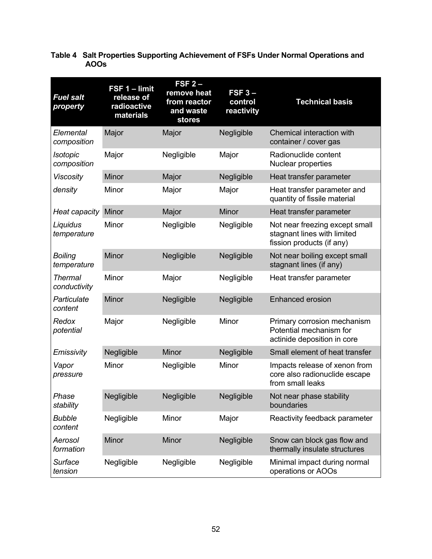| Table 4 Salt Properties Supporting Achievement of FSFs Under Normal Operations and |
|------------------------------------------------------------------------------------|
| <b>AOOs</b>                                                                        |

| <b>Fuel salt</b><br>property   | FSF 1 - limit<br>release of<br>radioactive<br>materials | $FSF2-$<br>remove heat<br>from reactor<br>and waste<br><b>stores</b> | $FSF3-$<br>control<br>reactivity | <b>Technical basis</b>                                                                     |
|--------------------------------|---------------------------------------------------------|----------------------------------------------------------------------|----------------------------------|--------------------------------------------------------------------------------------------|
| Elemental<br>composition       | Major                                                   | Major                                                                | Negligible                       | Chemical interaction with<br>container / cover gas                                         |
| Isotopic<br>composition        | Major                                                   | Negligible                                                           | Major                            | Radionuclide content<br>Nuclear properties                                                 |
| <b>Viscosity</b>               | Minor                                                   | Major                                                                | Negligible                       | Heat transfer parameter                                                                    |
| density                        | Minor                                                   | Major                                                                | Major                            | Heat transfer parameter and<br>quantity of fissile material                                |
| Heat capacity                  | Minor                                                   | Major                                                                | Minor                            | Heat transfer parameter                                                                    |
| Liquidus<br>temperature        | Minor                                                   | Negligible                                                           | Negligible                       | Not near freezing except small<br>stagnant lines with limited<br>fission products (if any) |
| <b>Boiling</b><br>temperature  | Minor                                                   | Negligible                                                           | Negligible                       | Not near boiling except small<br>stagnant lines (if any)                                   |
| <b>Thermal</b><br>conductivity | Minor                                                   | Major                                                                | Negligible                       | Heat transfer parameter                                                                    |
| Particulate<br>content         | <b>Minor</b>                                            | Negligible                                                           | Negligible                       | <b>Enhanced erosion</b>                                                                    |
| Redox<br>potential             | Major                                                   | Negligible                                                           | Minor                            | Primary corrosion mechanism<br>Potential mechanism for<br>actinide deposition in core      |
| Emissivity                     | Negligible                                              | Minor                                                                | Negligible                       | Small element of heat transfer                                                             |
| Vapor<br>pressure              | Minor                                                   | Negligible                                                           | Minor                            | Impacts release of xenon from<br>core also radionuclide escape<br>from small leaks         |
| Phase<br>stability             | Negligible                                              | Negligible                                                           | Negligible                       | Not near phase stability<br>boundaries                                                     |
| <b>Bubble</b><br>content       | Negligible                                              | Minor                                                                | Major                            | Reactivity feedback parameter                                                              |
| Aerosol<br>formation           | Minor                                                   | Minor                                                                | Negligible                       | Snow can block gas flow and<br>thermally insulate structures                               |
| Surface<br>tension             | Negligible                                              | Negligible                                                           | Negligible                       | Minimal impact during normal<br>operations or AOOs                                         |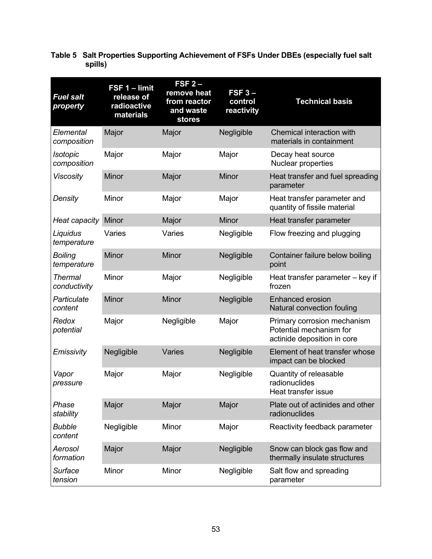| <b>Fuel salt</b><br>property   | FSF 1 - limit<br>release of<br>radioactive<br>materials | $FSF2-$<br>remove heat<br>from reactor<br>and waste<br><b>stores</b> | $FSF3 -$<br>control<br>reactivity | <b>Technical basis</b>                                                                |
|--------------------------------|---------------------------------------------------------|----------------------------------------------------------------------|-----------------------------------|---------------------------------------------------------------------------------------|
| Elemental<br>composition       | Major                                                   | Major                                                                | Negligible                        | Chemical interaction with<br>materials in containment                                 |
| Isotopic<br>composition        | Major                                                   | Major                                                                | Major                             | Decay heat source<br>Nuclear properties                                               |
| <b>Viscosity</b>               | Minor                                                   | Major                                                                | Minor                             | Heat transfer and fuel spreading<br>parameter                                         |
| Density                        | Minor                                                   | Major                                                                | Major                             | Heat transfer parameter and<br>quantity of fissile material                           |
| Heat capacity                  | Minor                                                   | Major                                                                | Minor                             | Heat transfer parameter                                                               |
| Liquidus<br>temperature        | Varies                                                  | Varies                                                               | Negligible                        | Flow freezing and plugging                                                            |
| <b>Boiling</b><br>temperature  | Minor                                                   | Minor                                                                | Negligible                        | Container failure below boiling<br>point                                              |
| <b>Thermal</b><br>conductivity | Minor                                                   | Major                                                                | Negligible                        | Heat transfer parameter - key if<br>frozen                                            |
| Particulate<br>content         | Minor                                                   | Minor                                                                | Negligible                        | <b>Enhanced erosion</b><br>Natural convection fouling                                 |
| Redox<br>potential             | Major                                                   | Negligible                                                           | Major                             | Primary corrosion mechanism<br>Potential mechanism for<br>actinide deposition in core |
| Emissivity                     | Negligible                                              | Varies                                                               | Negligible                        | Element of heat transfer whose<br>impact can be blocked                               |
| Vapor<br>pressure              | Major                                                   | Major                                                                | Negligible                        | Quantity of releasable<br>radionuclides<br>Heat transfer issue                        |
| Phase<br>stability             | Major                                                   | Major                                                                | Major                             | Plate out of actinides and other<br>radionuclides                                     |
| <b>Bubble</b><br>content       | Negligible                                              | Minor                                                                | Major                             | Reactivity feedback parameter                                                         |
| Aerosol<br>formation           | Major                                                   | Major                                                                | Negligible                        | Snow can block gas flow and<br>thermally insulate structures                          |
| Surface<br>tension             | Minor                                                   | Minor                                                                | Negligible                        | Salt flow and spreading<br>parameter                                                  |

**Table 5 Salt Properties Supporting Achievement of FSFs Under DBEs (especially fuel salt spills)**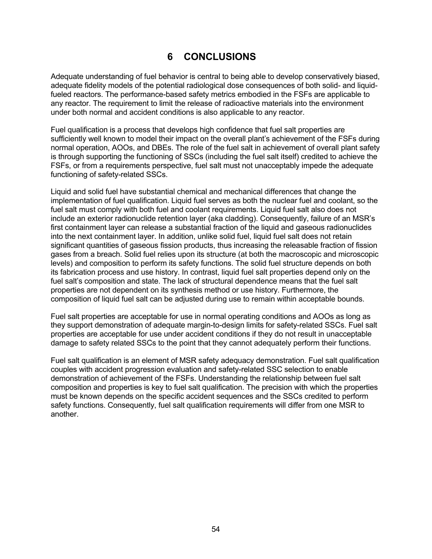# **6 CONCLUSIONS**

Adequate understanding of fuel behavior is central to being able to develop conservatively biased, adequate fidelity models of the potential radiological dose consequences of both solid- and liquidfueled reactors. The performance-based safety metrics embodied in the FSFs are applicable to any reactor. The requirement to limit the release of radioactive materials into the environment under both normal and accident conditions is also applicable to any reactor.

Fuel qualification is a process that develops high confidence that fuel salt properties are sufficiently well known to model their impact on the overall plant's achievement of the FSFs during normal operation, AOOs, and DBEs. The role of the fuel salt in achievement of overall plant safety is through supporting the functioning of SSCs (including the fuel salt itself) credited to achieve the FSFs, or from a requirements perspective, fuel salt must not unacceptably impede the adequate functioning of safety-related SSCs.

Liquid and solid fuel have substantial chemical and mechanical differences that change the implementation of fuel qualification. Liquid fuel serves as both the nuclear fuel and coolant, so the fuel salt must comply with both fuel and coolant requirements. Liquid fuel salt also does not include an exterior radionuclide retention layer (aka cladding). Consequently, failure of an MSR's first containment layer can release a substantial fraction of the liquid and gaseous radionuclides into the next containment layer. In addition, unlike solid fuel, liquid fuel salt does not retain significant quantities of gaseous fission products, thus increasing the releasable fraction of fission gases from a breach. Solid fuel relies upon its structure (at both the macroscopic and microscopic levels) and composition to perform its safety functions. The solid fuel structure depends on both its fabrication process and use history. In contrast, liquid fuel salt properties depend only on the fuel salt's composition and state. The lack of structural dependence means that the fuel salt properties are not dependent on its synthesis method or use history. Furthermore, the composition of liquid fuel salt can be adjusted during use to remain within acceptable bounds.

Fuel salt properties are acceptable for use in normal operating conditions and AOOs as long as they support demonstration of adequate margin-to-design limits for safety-related SSCs. Fuel salt properties are acceptable for use under accident conditions if they do not result in unacceptable damage to safety related SSCs to the point that they cannot adequately perform their functions.

Fuel salt qualification is an element of MSR safety adequacy demonstration. Fuel salt qualification couples with accident progression evaluation and safety-related SSC selection to enable demonstration of achievement of the FSFs. Understanding the relationship between fuel salt composition and properties is key to fuel salt qualification. The precision with which the properties must be known depends on the specific accident sequences and the SSCs credited to perform safety functions. Consequently, fuel salt qualification requirements will differ from one MSR to another.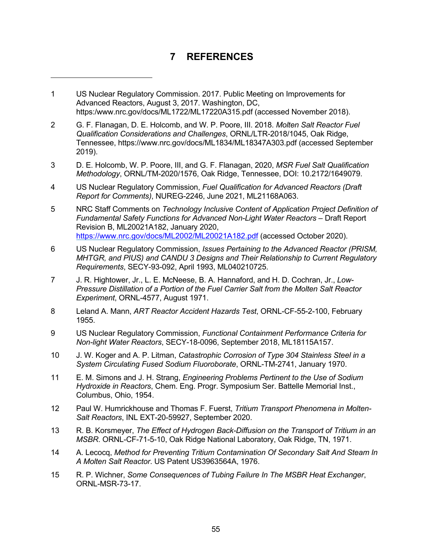# **7 REFERENCES**

-

- 2 G. F. Flanagan, D. E. Holcomb, and W. P. Poore, III. 2018. *Molten Salt Reactor Fuel Qualification Considerations and Challenges*, ORNL/LTR-2018/1045, Oak Ridge, Tennessee, https://www.nrc.gov/docs/ML1834/ML18347A303.pdf (accessed September 2019).
- 3 D. E. Holcomb, W. P. Poore, III, and G. F. Flanagan, 2020, *MSR Fuel Salt Qualification Methodology*, ORNL/TM-2020/1576, Oak Ridge, Tennessee, DOI: 10.2172/1649079.
- 4 US Nuclear Regulatory Commission, *Fuel Qualification for Advanced Reactors (Draft Report for Comments)*, NUREG-2246, June 2021, ML21168A063.
- 5 NRC Staff Comments on *Technology Inclusive Content of Application Project Definition of Fundamental Safety Functions for Advanced Non-Light Water Reactors* – Draft Report Revision B, ML20021A182, January 2020, https://www.nrc.gov/docs/ML2002/ML20021A182.pdf (accessed October 2020).
- 6 US Nuclear Regulatory Commission, *Issues Pertaining to the Advanced Reactor (PRISM, MHTGR, and PIUS) and CANDU 3 Designs and Their Relationship to Current Regulatory Requirements*, SECY-93-092, April 1993, ML040210725.
- 7 J. R. Hightower, Jr., L. E. McNeese, B. A. Hannaford, and H. D. Cochran, Jr., *Low-Pressure Distillation of a Portion of the Fuel Carrier Salt from the Molten Salt Reactor Experiment*, ORNL-4577, August 1971.
- 8 Leland A. Mann, *ART Reactor Accident Hazards Test*, ORNL-CF-55-2-100, February 1955.
- 9 US Nuclear Regulatory Commission, *Functional Containment Performance Criteria for Non-light Water Reactors*, SECY-18-0096, September 2018, ML18115A157.
- 10 J. W. Koger and A. P. Litman, *Catastrophic Corrosion of Type 304 Stainless Steel in a System Circulating Fused Sodium Fluoroborate*, ORNL-TM-2741, January 1970.
- 11 E. M. Simons and J. H. Strang, *Engineering Problems Pertinent to the Use of Sodium Hydroxide in Reactors*, Chem. Eng. Progr. Symposium Ser. Battelle Memorial Inst., Columbus, Ohio, 1954.
- 12 Paul W. Humrickhouse and Thomas F. Fuerst, *Tritium Transport Phenomena in Molten-Salt Reactors*, INL EXT-20-59927, September 2020.
- 13 R. B. Korsmeyer, *The Effect of Hydrogen Back-Diffusion on the Transport of Tritium in an MSBR*. ORNL-CF-71-5-10, Oak Ridge National Laboratory, Oak Ridge, TN, 1971.
- 14 A. Lecocq, *Method for Preventing Tritium Contamination Of Secondary Salt And Steam In A Molten Salt Reactor*. US Patent US3963564A, 1976.
- 15 R. P. Wichner, *Some Consequences of Tubing Failure In The MSBR Heat Exchanger*, ORNL-MSR-73-17.

<sup>1</sup> US Nuclear Regulatory Commission. 2017. Public Meeting on Improvements for Advanced Reactors, August 3, 2017. Washington, DC, https:/www.nrc.gov/docs/ML1722/ML17220A315.pdf (accessed November 2018).